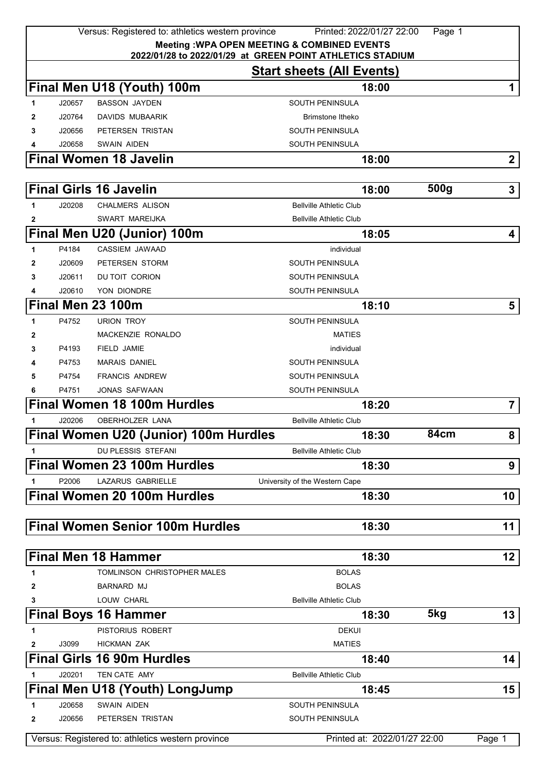|    |                  | Versus: Registered to: athletics western province | Printed: 2022/01/27 22:00                                                                     | Page 1           |                 |
|----|------------------|---------------------------------------------------|-----------------------------------------------------------------------------------------------|------------------|-----------------|
|    |                  |                                                   | <b>Meeting: WPA OPEN MEETING &amp; COMBINED EVENTS</b>                                        |                  |                 |
|    |                  |                                                   | 2022/01/28 to 2022/01/29 at GREEN POINT ATHLETICS STADIUM<br><b>Start sheets (All Events)</b> |                  |                 |
|    |                  |                                                   |                                                                                               |                  |                 |
|    |                  | Final Men U18 (Youth) 100m                        | 18:00                                                                                         |                  | 1               |
| 1  | J20657           | <b>BASSON JAYDEN</b>                              | SOUTH PENINSULA                                                                               |                  |                 |
| 2  | J20764<br>J20656 | DAVIDS MUBAARIK                                   | Brimstone Itheko                                                                              |                  |                 |
| 3  | J20658           | PETERSEN TRISTAN<br><b>SWAIN AIDEN</b>            | SOUTH PENINSULA<br>SOUTH PENINSULA                                                            |                  |                 |
|    |                  | <b>Final Women 18 Javelin</b>                     | 18:00                                                                                         |                  | $\mathbf{2}$    |
|    |                  |                                                   |                                                                                               |                  |                 |
|    |                  | <b>Final Girls 16 Javelin</b>                     | 18:00                                                                                         | 500 <sub>g</sub> | 3               |
| 1  | J20208           | <b>CHALMERS ALISON</b>                            | <b>Bellville Athletic Club</b>                                                                |                  |                 |
| 2  |                  | SWART MAREIJKA                                    | <b>Bellville Athletic Club</b>                                                                |                  |                 |
|    |                  | Final Men U20 (Junior) 100m                       | 18:05                                                                                         |                  | 4               |
| 1  | P4184            | CASSIEM JAWAAD                                    | individual                                                                                    |                  |                 |
| 2  | J20609           | PETERSEN STORM                                    | <b>SOUTH PENINSULA</b>                                                                        |                  |                 |
| 3  | J20611           | DU TOIT CORION                                    | <b>SOUTH PENINSULA</b>                                                                        |                  |                 |
| 4  | J20610           | YON DIONDRE                                       | SOUTH PENINSULA                                                                               |                  |                 |
|    |                  | Final Men 23 100m                                 | 18:10                                                                                         |                  | 5               |
| 1  | P4752            | <b>URION TROY</b>                                 | <b>SOUTH PENINSULA</b>                                                                        |                  |                 |
| 2  |                  | MACKENZIE RONALDO                                 | <b>MATIES</b>                                                                                 |                  |                 |
| 3  | P4193            | <b>FIELD JAMIE</b>                                | individual                                                                                    |                  |                 |
|    | P4753            | <b>MARAIS DANIEL</b>                              | SOUTH PENINSULA                                                                               |                  |                 |
| 5  | P4754            | <b>FRANCIS ANDREW</b>                             | <b>SOUTH PENINSULA</b>                                                                        |                  |                 |
| 6  | P4751            | <b>JONAS SAFWAAN</b>                              | SOUTH PENINSULA                                                                               |                  |                 |
|    |                  | <b>Final Women 18 100m Hurdles</b>                | 18:20                                                                                         |                  | $\overline{7}$  |
| 1  | J20206           | <b>OBERHOLZER LANA</b>                            | <b>Bellville Athletic Club</b>                                                                |                  |                 |
|    |                  | Final Women U20 (Junior) 100m Hurdles             | 18:30                                                                                         | 84cm             | 8               |
| 1  |                  | <b>DU PLESSIS STEFANI</b>                         | <b>Bellville Athletic Club</b>                                                                |                  |                 |
|    |                  | <b>Final Women 23 100m Hurdles</b>                | 18:30                                                                                         |                  | 9               |
| 1  | P2006            | <b>LAZARUS GABRIELLE</b>                          | University of the Western Cape                                                                |                  |                 |
|    |                  | <b>Final Women 20 100m Hurdles</b>                | 18:30                                                                                         |                  | 10              |
|    |                  |                                                   |                                                                                               |                  |                 |
|    |                  | <b>Final Women Senior 100m Hurdles</b>            | 18:30                                                                                         |                  | 11              |
|    |                  |                                                   |                                                                                               |                  |                 |
|    |                  | <b>Final Men 18 Hammer</b>                        | 18:30                                                                                         |                  | 12 <sub>2</sub> |
| 1  |                  | TOMLINSON CHRISTOPHER MALES                       | <b>BOLAS</b>                                                                                  |                  |                 |
| 2  |                  | BARNARD MJ                                        | <b>BOLAS</b>                                                                                  |                  |                 |
| 3  |                  | LOUW CHARL                                        | <b>Bellville Athletic Club</b>                                                                |                  |                 |
|    |                  | <b>Final Boys 16 Hammer</b>                       | 18:30                                                                                         | 5kg              | 13              |
| 1  |                  | PISTORIUS ROBERT                                  | <b>DEKUI</b>                                                                                  |                  |                 |
| 2  | J3099            | <b>HICKMAN ZAK</b>                                | <b>MATIES</b>                                                                                 |                  |                 |
|    |                  | <b>Final Girls 16 90m Hurdles</b>                 | 18:40                                                                                         |                  | 14              |
| 1  | J20201           | TEN CATE AMY                                      | <b>Bellville Athletic Club</b>                                                                |                  |                 |
|    |                  | Final Men U18 (Youth) LongJump                    | 18:45                                                                                         |                  | $15\,$          |
| 1. | J20658           | <b>SWAIN AIDEN</b>                                | SOUTH PENINSULA                                                                               |                  |                 |
| 2  | J20656           | PETERSEN TRISTAN                                  | SOUTH PENINSULA                                                                               |                  |                 |
|    |                  | Versus: Registered to: athletics western province | Printed at: 2022/01/27 22:00                                                                  |                  | Page 1          |
|    |                  |                                                   |                                                                                               |                  |                 |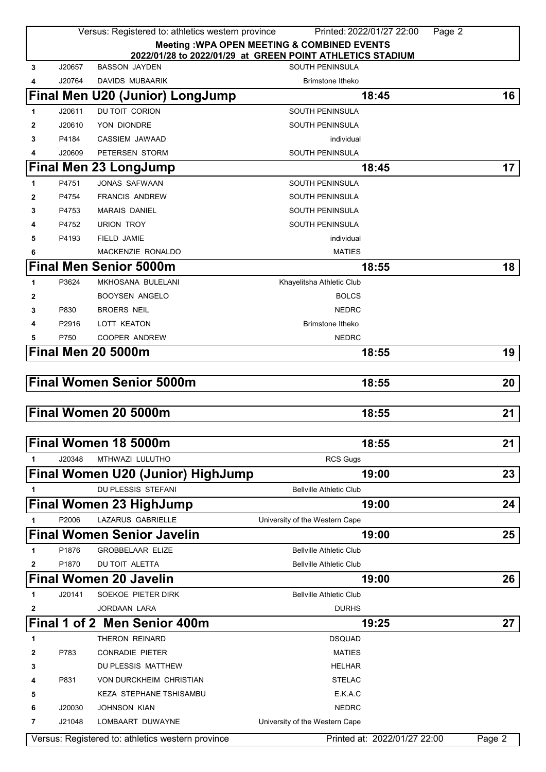|   |        | Versus: Registered to: athletics western province | Printed: 2022/01/27 22:00                                                           | Page 2          |
|---|--------|---------------------------------------------------|-------------------------------------------------------------------------------------|-----------------|
|   |        |                                                   | <b>Meeting: WPA OPEN MEETING &amp; COMBINED EVENTS</b>                              |                 |
| 3 | J20657 | <b>BASSON JAYDEN</b>                              | 2022/01/28 to 2022/01/29 at GREEN POINT ATHLETICS STADIUM<br><b>SOUTH PENINSULA</b> |                 |
| 4 | J20764 | <b>DAVIDS MUBAARIK</b>                            | Brimstone Itheko                                                                    |                 |
|   |        | Final Men U20 (Junior) LongJump                   | 18:45                                                                               | 16 <sup>1</sup> |
| 1 | J20611 | DU TOIT CORION                                    | <b>SOUTH PENINSULA</b>                                                              |                 |
| 2 | J20610 | YON DIONDRE                                       | <b>SOUTH PENINSULA</b>                                                              |                 |
| 3 | P4184  | CASSIEM JAWAAD                                    | individual                                                                          |                 |
| 4 | J20609 | PETERSEN STORM                                    | <b>SOUTH PENINSULA</b>                                                              |                 |
|   |        | Final Men 23 LongJump                             | 18:45                                                                               | 17 <sup>1</sup> |
| 1 | P4751  | <b>JONAS SAFWAAN</b>                              | <b>SOUTH PENINSULA</b>                                                              |                 |
| 2 | P4754  | <b>FRANCIS ANDREW</b>                             | <b>SOUTH PENINSULA</b>                                                              |                 |
| 3 | P4753  | <b>MARAIS DANIEL</b>                              | SOUTH PENINSULA                                                                     |                 |
| 4 | P4752  | <b>URION TROY</b>                                 | <b>SOUTH PENINSULA</b>                                                              |                 |
| 5 | P4193  | FIELD JAMIE                                       | individual                                                                          |                 |
| 6 |        | MACKENZIE RONALDO                                 | <b>MATIES</b>                                                                       |                 |
|   |        | <b>Final Men Senior 5000m</b>                     | 18:55                                                                               | 18 <sup>1</sup> |
| 1 | P3624  | MKHOSANA BULELANI                                 | Khayelitsha Athletic Club                                                           |                 |
| 2 |        | <b>BOOYSEN ANGELO</b>                             | <b>BOLCS</b>                                                                        |                 |
| 3 | P830   | <b>BROERS NEIL</b>                                | <b>NEDRC</b>                                                                        |                 |
| 4 | P2916  | LOTT KEATON                                       | Brimstone Itheko                                                                    |                 |
| 5 | P750   | <b>COOPER ANDREW</b>                              | <b>NEDRC</b>                                                                        |                 |
|   |        | <b>Final Men 20 5000m</b>                         | 18:55                                                                               | 19              |
|   |        |                                                   |                                                                                     |                 |
|   |        | <b>Final Women Senior 5000m</b>                   | 18:55                                                                               | 20 <sub>1</sub> |
|   |        |                                                   |                                                                                     |                 |
|   |        | Final Women 20 5000m                              | 18:55                                                                               | 21              |
|   |        |                                                   |                                                                                     |                 |
|   |        | Final Women 18 5000m                              | 18:55                                                                               | $21 \mid$       |
|   | J20348 | MTHWAZI LULUTHO                                   | <b>RCS Gugs</b>                                                                     |                 |
|   |        |                                                   | 19:00                                                                               |                 |
|   |        | <b>Final Women U20 (Junior) HighJump</b>          |                                                                                     | 23              |
|   |        | DU PLESSIS STEFANI                                | <b>Bellville Athletic Club</b>                                                      |                 |
|   |        | <b>Final Women 23 HighJump</b>                    | 19:00                                                                               | 24 <sup>1</sup> |
| 1 | P2006  | LAZARUS GABRIELLE                                 | University of the Western Cape                                                      |                 |
|   |        | <b>Final Women Senior Javelin</b>                 | 19:00                                                                               | 25              |
| 1 | P1876  | <b>GROBBELAAR ELIZE</b>                           | <b>Bellville Athletic Club</b>                                                      |                 |
| 2 | P1870  | DU TOIT ALETTA                                    | <b>Bellville Athletic Club</b>                                                      |                 |
|   |        | <b>Final Women 20 Javelin</b>                     | 19:00                                                                               | 26              |
| 1 | J20141 | SOEKOE PIETER DIRK                                | <b>Bellville Athletic Club</b>                                                      |                 |
| 2 |        | <b>JORDAAN LARA</b>                               | <b>DURHS</b>                                                                        |                 |
|   |        | Final 1 of 2 Men Senior 400m                      | 19:25                                                                               | 27 I            |
| 1 |        | THERON REINARD                                    | <b>DSQUAD</b>                                                                       |                 |
| 2 | P783   | <b>CONRADIE PIETER</b>                            | <b>MATIES</b>                                                                       |                 |
| 3 |        | DU PLESSIS MATTHEW                                | HELHAR                                                                              |                 |
| 4 | P831   | VON DURCKHEIM CHRISTIAN                           | <b>STELAC</b>                                                                       |                 |
| 5 |        | <b>KEZA STEPHANE TSHISAMBU</b>                    | E.K.A.C                                                                             |                 |
| 6 | J20030 | <b>JOHNSON KIAN</b>                               | <b>NEDRC</b>                                                                        |                 |
| 7 | J21048 | LOMBAART DUWAYNE                                  | University of the Western Cape                                                      |                 |
|   |        | Versus: Registered to: athletics western province | Printed at: 2022/01/27 22:00                                                        | Page 2          |
|   |        |                                                   |                                                                                     |                 |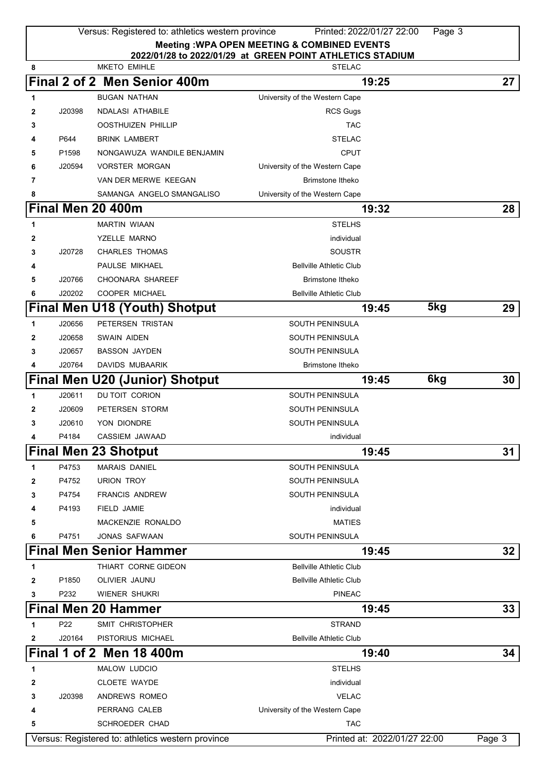|   |                   | Versus: Registered to: athletics western province | Printed: 2022/01/27 22:00                                 | Page 3 |        |
|---|-------------------|---------------------------------------------------|-----------------------------------------------------------|--------|--------|
|   |                   |                                                   | <b>Meeting: WPA OPEN MEETING &amp; COMBINED EVENTS</b>    |        |        |
|   |                   |                                                   | 2022/01/28 to 2022/01/29 at GREEN POINT ATHLETICS STADIUM |        |        |
| 8 |                   | <b>MKETO EMIHLE</b>                               | <b>STELAC</b>                                             |        |        |
|   |                   | Final 2 of 2 Men Senior 400m                      | 19:25                                                     |        | 27     |
| 1 |                   | <b>BUGAN NATHAN</b>                               | University of the Western Cape                            |        |        |
| 2 | J20398            | <b>NDALASI ATHABILE</b>                           | <b>RCS Gugs</b>                                           |        |        |
| 3 |                   | <b>OOSTHUIZEN PHILLIP</b>                         | <b>TAC</b>                                                |        |        |
| 4 | P644              | <b>BRINK LAMBERT</b>                              | <b>STELAC</b>                                             |        |        |
| 5 | P <sub>1598</sub> | NONGAWUZA WANDILE BENJAMIN                        | CPUT                                                      |        |        |
| 6 | J20594            | <b>VORSTER MORGAN</b>                             | University of the Western Cape                            |        |        |
| 7 |                   | VAN DER MERWE KEEGAN                              | Brimstone Itheko                                          |        |        |
| 8 |                   | SAMANGA ANGELO SMANGALISO                         | University of the Western Cape                            |        |        |
|   |                   | Final Men 20 400m                                 | 19:32                                                     |        | 28     |
| 1 |                   | <b>MARTIN WIAAN</b>                               | <b>STELHS</b>                                             |        |        |
| 2 |                   | YZELLE MARNO                                      | individual                                                |        |        |
| 3 | J20728            | <b>CHARLES THOMAS</b>                             | <b>SOUSTR</b>                                             |        |        |
| 4 |                   | PAULSE MIKHAEL                                    | <b>Bellville Athletic Club</b>                            |        |        |
| 5 | J20766            | <b>CHOONARA SHAREEF</b>                           | Brimstone Itheko                                          |        |        |
| 6 | J20202            | <b>COOPER MICHAEL</b>                             | <b>Bellville Athletic Club</b>                            |        |        |
|   |                   | Final Men U18 (Youth) Shotput                     | 19:45                                                     | 5kg    | 29     |
| 1 | J20656            | PETERSEN TRISTAN                                  | SOUTH PENINSULA                                           |        |        |
| 2 | J20658            | <b>SWAIN AIDEN</b>                                | SOUTH PENINSULA                                           |        |        |
| 3 | J20657            | <b>BASSON JAYDEN</b>                              | <b>SOUTH PENINSULA</b>                                    |        |        |
| 4 | J20764            | DAVIDS MUBAARIK                                   | Brimstone Itheko                                          |        |        |
|   |                   | <b>Final Men U20 (Junior) Shotput</b>             | 19:45                                                     | 6kg    | 30     |
| 1 | J20611            | DU TOIT CORION                                    | SOUTH PENINSULA                                           |        |        |
| 2 | J20609            | PETERSEN STORM                                    | SOUTH PENINSULA                                           |        |        |
| 3 | J20610            | YON DIONDRE                                       | <b>SOUTH PENINSULA</b>                                    |        |        |
|   | P4184             | CASSIEM JAWAAD                                    | individual                                                |        |        |
|   |                   |                                                   |                                                           |        | 31     |
|   |                   | <b>Final Men 23 Shotput</b>                       | 19:45                                                     |        |        |
| 1 | P4753             | <b>MARAIS DANIEL</b>                              | <b>SOUTH PENINSULA</b>                                    |        |        |
| 2 | P4752             | <b>URION TROY</b>                                 | <b>SOUTH PENINSULA</b>                                    |        |        |
| 3 | P4754             | <b>FRANCIS ANDREW</b>                             | <b>SOUTH PENINSULA</b>                                    |        |        |
| 4 | P4193             | <b>FIELD JAMIE</b>                                | individual                                                |        |        |
| 5 |                   | MACKENZIE RONALDO                                 | <b>MATIES</b>                                             |        |        |
| 6 | P4751             | <b>JONAS SAFWAAN</b>                              | SOUTH PENINSULA                                           |        |        |
|   |                   | <b>Final Men Senior Hammer</b>                    | 19:45                                                     |        | 32     |
| 1 |                   | THIART CORNE GIDEON                               | <b>Bellville Athletic Club</b>                            |        |        |
| 2 | P1850             | OLIVIER JAUNU                                     | <b>Bellville Athletic Club</b>                            |        |        |
| 3 | P232              | WIENER SHUKRI                                     | <b>PINEAC</b>                                             |        |        |
|   |                   | <b>Final Men 20 Hammer</b>                        | 19:45                                                     |        | 33     |
| 1 | P22               | SMIT CHRISTOPHER                                  | <b>STRAND</b>                                             |        |        |
| 2 | J20164            | PISTORIUS MICHAEL                                 | <b>Bellville Athletic Club</b>                            |        |        |
|   |                   | <b>Final 1 of 2 Men 18 400m</b>                   | 19:40                                                     |        | 34     |
| 1 |                   | MALOW LUDCIO                                      | <b>STELHS</b>                                             |        |        |
| 2 |                   | <b>CLOETE WAYDE</b>                               | individual                                                |        |        |
| 3 | J20398            | ANDREWS ROMEO                                     | <b>VELAC</b>                                              |        |        |
| 4 |                   | PERRANG CALEB                                     | University of the Western Cape                            |        |        |
| 5 |                   | SCHROEDER CHAD                                    | <b>TAC</b>                                                |        |        |
|   |                   | Versus: Registered to: athletics western province | Printed at: 2022/01/27 22:00                              |        | Page 3 |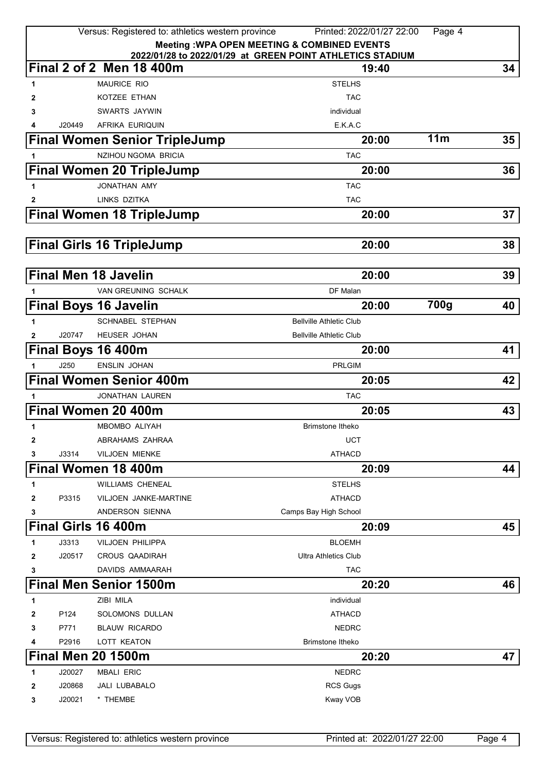|              |        | Versus: Registered to: athletics western province | Printed: 2022/01/27 22:00                                          | Page 4 |    |
|--------------|--------|---------------------------------------------------|--------------------------------------------------------------------|--------|----|
|              |        |                                                   | <b>Meeting: WPA OPEN MEETING &amp; COMBINED EVENTS</b>             |        |    |
|              |        | Final 2 of 2 Men 18 400m                          | 2022/01/28 to 2022/01/29 at GREEN POINT ATHLETICS STADIUM<br>19:40 |        | 34 |
|              |        | <b>MAURICE RIO</b>                                | <b>STELHS</b>                                                      |        |    |
| 1            |        | KOTZEE ETHAN                                      | <b>TAC</b>                                                         |        |    |
| 2<br>3       |        | SWARTS JAYWIN                                     | individual                                                         |        |    |
| 4            | J20449 | AFRIKA EURIQUIN                                   | E.K.A.C                                                            |        |    |
|              |        | <b>Final Women Senior TripleJump</b>              | 20:00                                                              | 11m    | 35 |
|              |        | NZIHOU NGOMA BRICIA                               | <b>TAC</b>                                                         |        |    |
|              |        | <b>Final Women 20 TripleJump</b>                  | 20:00                                                              |        | 36 |
| 1            |        | JONATHAN AMY                                      | <b>TAC</b>                                                         |        |    |
| 2            |        | LINKS DZITKA                                      | <b>TAC</b>                                                         |        |    |
|              |        | <b>Final Women 18 TripleJump</b>                  | 20:00                                                              |        | 37 |
|              |        |                                                   |                                                                    |        |    |
|              |        | <b>Final Girls 16 TripleJump</b>                  | 20:00                                                              |        | 38 |
|              |        |                                                   |                                                                    |        |    |
|              |        | <b>Final Men 18 Javelin</b>                       | 20:00                                                              |        | 39 |
| 1            |        | VAN GREUNING SCHALK                               | DF Malan                                                           |        |    |
|              |        | <b>Final Boys 16 Javelin</b>                      | 20:00                                                              | 700g   | 40 |
| 1            |        | <b>SCHNABEL STEPHAN</b>                           | <b>Bellville Athletic Club</b>                                     |        |    |
| $\mathbf{2}$ | J20747 | <b>HEUSER JOHAN</b>                               | <b>Bellville Athletic Club</b>                                     |        |    |
|              |        | Final Boys 16 400m                                | 20:00                                                              |        | 41 |
| 1            | J250   | <b>ENSLIN JOHAN</b>                               | <b>PRLGIM</b>                                                      |        |    |
|              |        | <b>Final Women Senior 400m</b>                    | 20:05                                                              |        | 42 |
| 1            |        | <b>JONATHAN LAUREN</b>                            | <b>TAC</b>                                                         |        |    |
|              |        | Final Women 20 400m                               | 20:05                                                              |        | 43 |
| 1            |        | <b>MBOMBO ALIYAH</b>                              | <b>Brimstone Itheko</b>                                            |        |    |
| 2            |        | ABRAHAMS ZAHRAA                                   | <b>UCT</b>                                                         |        |    |
| 3            | J3314  | <b>VILJOEN MIENKE</b>                             | <b>ATHACD</b>                                                      |        |    |
|              |        | Final Women 18 400m                               | 20:09                                                              |        | 44 |
| 1            |        | <b>WILLIAMS CHENEAL</b>                           | <b>STELHS</b>                                                      |        |    |
| 2            | P3315  | VILJOEN JANKE-MARTINE                             | <b>ATHACD</b>                                                      |        |    |
| 3            |        | ANDERSON SIENNA                                   | Camps Bay High School                                              |        |    |
|              |        | Final Girls 16 400m                               | 20:09                                                              |        | 45 |
| 1            | J3313  | <b>VILJOEN PHILIPPA</b>                           | <b>BLOEMH</b>                                                      |        |    |
| 2            | J20517 | <b>CROUS QAADIRAH</b>                             | <b>Ultra Athletics Club</b>                                        |        |    |
| 3            |        | DAVIDS AMMAARAH                                   | <b>TAC</b>                                                         |        |    |
|              |        | <b>Final Men Senior 1500m</b>                     | 20:20                                                              |        | 46 |
| 1            |        | ZIBI MILA                                         | individual                                                         |        |    |
| 2            | P124   | SOLOMONS DULLAN                                   | <b>ATHACD</b>                                                      |        |    |
| 3            | P771   | <b>BLAUW RICARDO</b>                              | <b>NEDRC</b>                                                       |        |    |
|              | P2916  | LOTT KEATON                                       | <b>Brimstone Itheko</b>                                            |        |    |
|              |        | <b>Final Men 20 1500m</b>                         | 20:20                                                              |        | 47 |
| 1            | J20027 | <b>MBALI ERIC</b>                                 | <b>NEDRC</b>                                                       |        |    |
| 2            | J20868 | <b>JALI LUBABALO</b>                              | <b>RCS Gugs</b>                                                    |        |    |
| 3            | J20021 | * THEMBE                                          | Kway VOB                                                           |        |    |
|              |        |                                                   |                                                                    |        |    |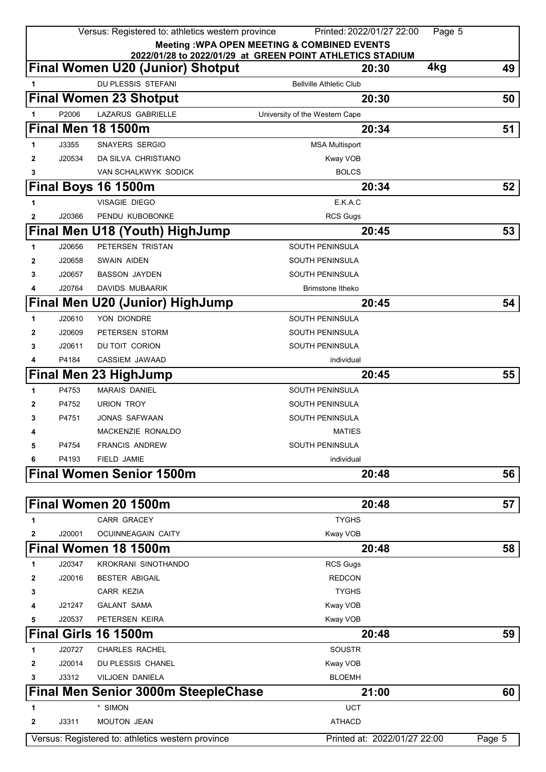|   |        | Versus: Registered to: athletics western province | Printed: 2022/01/27 22:00<br><b>Meeting: WPA OPEN MEETING &amp; COMBINED EVENTS</b> | Page 5 |
|---|--------|---------------------------------------------------|-------------------------------------------------------------------------------------|--------|
|   |        |                                                   | 2022/01/28 to 2022/01/29 at GREEN POINT ATHLETICS STADIUM                           |        |
|   |        | <b>Final Women U20 (Junior) Shotput</b>           | 4kg<br>20:30                                                                        | 49     |
|   |        | DU PLESSIS STEFANI                                | <b>Bellville Athletic Club</b>                                                      |        |
|   |        | <b>Final Women 23 Shotput</b>                     | 20:30                                                                               | 50     |
| 1 | P2006  | <b>LAZARUS GABRIELLE</b>                          | University of the Western Cape                                                      |        |
|   |        | <b>Final Men 18 1500m</b>                         | 20:34                                                                               | 51     |
| 1 | J3355  | <b>SNAYERS SERGIO</b>                             | <b>MSA Multisport</b>                                                               |        |
| 2 | J20534 | DA SILVA CHRISTIANO                               | Kway VOB                                                                            |        |
| 3 |        | VAN SCHALKWYK SODICK                              | <b>BOLCS</b>                                                                        |        |
|   |        | Final Boys 16 1500m                               | 20:34                                                                               | 52     |
| 1 |        | <b>VISAGIE DIEGO</b>                              | E.K.A.C                                                                             |        |
| 2 | J20366 | PENDU KUBOBONKE                                   | <b>RCS Gugs</b>                                                                     |        |
|   |        | Final Men U18 (Youth) HighJump                    | 20:45                                                                               | 53     |
| 1 | J20656 | PETERSEN TRISTAN                                  | SOUTH PENINSULA                                                                     |        |
| 2 | J20658 | SWAIN AIDEN                                       | SOUTH PENINSULA                                                                     |        |
| 3 | J20657 | <b>BASSON JAYDEN</b>                              | SOUTH PENINSULA                                                                     |        |
| 4 | J20764 | <b>DAVIDS MUBAARIK</b>                            | Brimstone Itheko                                                                    |        |
|   |        | <b>Final Men U20 (Junior) HighJump</b>            | 20:45                                                                               | 54     |
| 1 | J20610 | YON DIONDRE                                       | <b>SOUTH PENINSULA</b>                                                              |        |
| 2 | J20609 | PETERSEN STORM                                    | <b>SOUTH PENINSULA</b>                                                              |        |
| 3 | J20611 | DU TOIT CORION                                    | <b>SOUTH PENINSULA</b>                                                              |        |
| 4 | P4184  | CASSIEM JAWAAD                                    | individual                                                                          |        |
|   |        | <b>Final Men 23 HighJump</b>                      | 20:45                                                                               | 55     |
| 1 | P4753  | <b>MARAIS DANIEL</b>                              | <b>SOUTH PENINSULA</b>                                                              |        |
| 2 | P4752  | <b>URION TROY</b>                                 | <b>SOUTH PENINSULA</b>                                                              |        |
| 3 | P4751  | <b>JONAS SAFWAAN</b>                              | <b>SOUTH PENINSULA</b>                                                              |        |
| 4 |        | MACKENZIE RONALDO                                 | <b>MATIES</b>                                                                       |        |
| 5 | P4754  | <b>FRANCIS ANDREW</b>                             | <b>SOUTH PENINSULA</b>                                                              |        |
| 6 | P4193  | <b>FIELD JAMIE</b>                                | individual                                                                          |        |
|   |        | <b>Final Women Senior 1500m</b>                   | 20:48                                                                               | 56     |
|   |        | Final Women 20 1500m                              | 20:48                                                                               | 57     |
| 1 |        | <b>CARR GRACEY</b>                                | <b>TYGHS</b>                                                                        |        |
| 2 | J20001 | OCUINNEAGAIN CAITY                                | Kway VOB                                                                            |        |
|   |        | Final Women 18 1500m                              | 20:48                                                                               | 58     |
| 1 | J20347 | <b>KROKRANI SINOTHANDO</b>                        | <b>RCS Gugs</b>                                                                     |        |
| 2 | J20016 | <b>BESTER ABIGAIL</b>                             | <b>REDCON</b>                                                                       |        |
| 3 |        | CARR KEZIA                                        | <b>TYGHS</b>                                                                        |        |
| 4 | J21247 | <b>GALANT SAMA</b>                                | Kway VOB                                                                            |        |
| 5 | J20537 | PETERSEN KEIRA                                    | Kway VOB                                                                            |        |
|   |        | Final Girls 16 1500m                              | 20:48                                                                               | 59     |
| 1 | J20727 | <b>CHARLES RACHEL</b>                             | <b>SOUSTR</b>                                                                       |        |
| 2 | J20014 | DU PLESSIS CHANEL                                 | Kway VOB                                                                            |        |
| 3 | J3312  | VILJOEN DANIELA                                   | <b>BLOEMH</b>                                                                       |        |
|   |        | Final Men Senior 3000m SteepleChase               | 21:00                                                                               | 60     |
| 1 |        | * SIMON                                           | <b>UCT</b>                                                                          |        |
| 2 | J3311  | <b>MOUTON JEAN</b>                                | <b>ATHACD</b>                                                                       |        |
|   |        | Versus: Registered to: athletics western province | Printed at: 2022/01/27 22:00                                                        | Page 5 |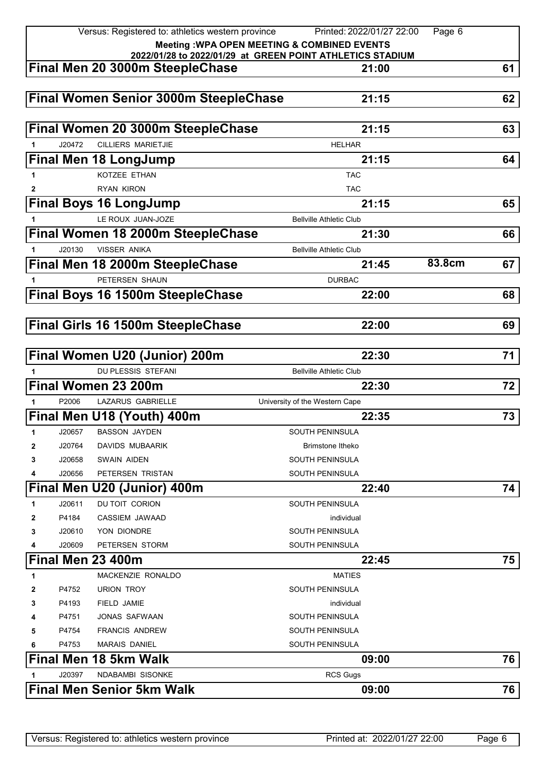|                                                                                              |        | Versus: Registered to: athletics western province | Printed: 2022/01/27 22:00      | Page 6 |    |
|----------------------------------------------------------------------------------------------|--------|---------------------------------------------------|--------------------------------|--------|----|
| Meeting : WPA OPEN MEETING & COMBINED EVENTS                                                 |        |                                                   |                                |        |    |
| 2022/01/28 to 2022/01/29 at GREEN POINT ATHLETICS STADIUM<br>Final Men 20 3000m SteepleChase |        |                                                   |                                |        |    |
|                                                                                              |        |                                                   | 21:00                          |        | 61 |
|                                                                                              |        | <b>Final Women Senior 3000m SteepleChase</b>      | 21:15                          |        | 62 |
|                                                                                              |        |                                                   |                                |        |    |
|                                                                                              |        | Final Women 20 3000m SteepleChase                 | 21:15                          |        | 63 |
|                                                                                              | J20472 | <b>CILLIERS MARIETJIE</b>                         | <b>HELHAR</b>                  |        |    |
|                                                                                              |        | <b>Final Men 18 LongJump</b>                      | 21:15                          |        | 64 |
|                                                                                              |        | KOTZEE ETHAN                                      | <b>TAC</b>                     |        |    |
| 2                                                                                            |        | <b>RYAN KIRON</b>                                 | <b>TAC</b>                     |        |    |
|                                                                                              |        | <b>Final Boys 16 LongJump</b>                     | 21:15                          |        | 65 |
|                                                                                              |        | LE ROUX JUAN-JOZE                                 | <b>Bellville Athletic Club</b> |        |    |
|                                                                                              |        | Final Women 18 2000m SteepleChase                 | 21:30                          |        | 66 |
| 1.                                                                                           | J20130 | <b>VISSER ANIKA</b>                               | <b>Bellville Athletic Club</b> |        |    |
|                                                                                              |        | Final Men 18 2000m SteepleChase                   | 21:45                          | 83.8cm | 67 |
| 1                                                                                            |        | PETERSEN SHAUN                                    | <b>DURBAC</b>                  |        |    |
|                                                                                              |        | Final Boys 16 1500m SteepleChase                  | 22:00                          |        | 68 |
|                                                                                              |        |                                                   |                                |        |    |
|                                                                                              |        | <b>Final Girls 16 1500m SteepleChase</b>          | 22:00                          |        | 69 |
|                                                                                              |        |                                                   |                                |        |    |
|                                                                                              |        | Final Women U20 (Junior) 200m                     | 22:30                          |        | 71 |
|                                                                                              |        | DU PLESSIS STEFANI                                | <b>Bellville Athletic Club</b> |        |    |
|                                                                                              |        | Final Women 23 200m                               | 22:30                          |        | 72 |
|                                                                                              | P2006  | LAZARUS GABRIELLE                                 | University of the Western Cape |        |    |
|                                                                                              |        | Final Men U18 (Youth) 400m                        | 22:35                          |        | 73 |
| 1                                                                                            | J20657 | <b>BASSON JAYDEN</b>                              | <b>SOUTH PENINSULA</b>         |        |    |
| 2                                                                                            | J20764 | <b>DAVIDS MUBAARIK</b>                            | Brimstone Itheko               |        |    |
| 3                                                                                            | J20658 | <b>SWAIN AIDEN</b>                                | <b>SOUTH PENINSULA</b>         |        |    |
| 4                                                                                            | J20656 | PETERSEN TRISTAN                                  | <b>SOUTH PENINSULA</b>         |        |    |
|                                                                                              |        | Final Men U20 (Junior) 400m                       | 22:40                          |        | 74 |
| 1                                                                                            | J20611 | DU TOIT CORION                                    | <b>SOUTH PENINSULA</b>         |        |    |
| 2                                                                                            | P4184  | CASSIEM JAWAAD                                    | individual                     |        |    |
| 3                                                                                            | J20610 | YON DIONDRE                                       | SOUTH PENINSULA                |        |    |
| 4                                                                                            | J20609 | PETERSEN STORM                                    | <b>SOUTH PENINSULA</b>         |        |    |
|                                                                                              |        | Final Men 23 400m                                 | 22:45                          |        | 75 |
| 1                                                                                            |        | MACKENZIE RONALDO                                 | <b>MATIES</b>                  |        |    |
| 2                                                                                            | P4752  | <b>URION TROY</b>                                 | SOUTH PENINSULA                |        |    |
| 3                                                                                            | P4193  | FIELD JAMIE                                       | individual                     |        |    |
| 4                                                                                            | P4751  | JONAS SAFWAAN                                     | SOUTH PENINSULA                |        |    |
| 5                                                                                            | P4754  | <b>FRANCIS ANDREW</b>                             | SOUTH PENINSULA                |        |    |
| 6                                                                                            | P4753  | <b>MARAIS DANIEL</b>                              | SOUTH PENINSULA                |        |    |
|                                                                                              |        | <b>Final Men 18 5km Walk</b>                      | 09:00                          |        | 76 |
|                                                                                              | J20397 | <b>NDABAMBI SISONKE</b>                           | <b>RCS Gugs</b>                |        |    |
|                                                                                              |        | <b>Final Men Senior 5km Walk</b>                  | 09:00                          |        | 76 |
|                                                                                              |        |                                                   |                                |        |    |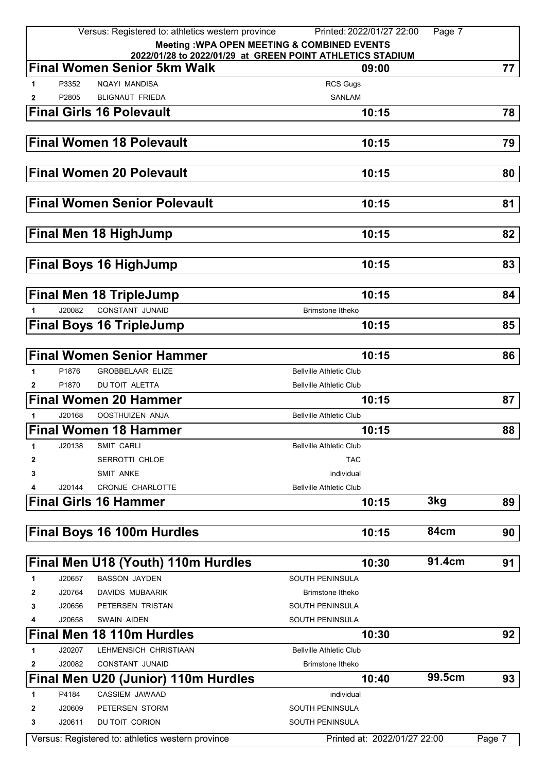|                                                        |        | Versus: Registered to: athletics western province                                               | Printed: 2022/01/27 22:00      | Page 7 |        |
|--------------------------------------------------------|--------|-------------------------------------------------------------------------------------------------|--------------------------------|--------|--------|
| <b>Meeting: WPA OPEN MEETING &amp; COMBINED EVENTS</b> |        |                                                                                                 |                                |        |        |
|                                                        |        | 2022/01/28 to 2022/01/29 at GREEN POINT ATHLETICS STADIUM<br><b>Final Women Senior 5km Walk</b> | 09:00                          |        | 77     |
|                                                        |        |                                                                                                 |                                |        |        |
| 1                                                      | P3352  | NQAYI MANDISA                                                                                   | <b>RCS Gugs</b>                |        |        |
| 2                                                      | P2805  | <b>BLIGNAUT FRIEDA</b>                                                                          | <b>SANLAM</b>                  |        |        |
|                                                        |        | <b>Final Girls 16 Polevault</b>                                                                 | 10:15                          |        | 78     |
|                                                        |        |                                                                                                 |                                |        |        |
|                                                        |        | <b>Final Women 18 Polevault</b>                                                                 | 10:15                          |        | 79     |
|                                                        |        |                                                                                                 |                                |        |        |
|                                                        |        | <b>Final Women 20 Polevault</b>                                                                 | 10:15                          |        | 80     |
|                                                        |        |                                                                                                 |                                |        |        |
|                                                        |        | <b>Final Women Senior Polevault</b>                                                             | 10:15                          |        | 81     |
|                                                        |        |                                                                                                 |                                |        |        |
|                                                        |        | <b>Final Men 18 HighJump</b>                                                                    | 10:15                          |        | 82     |
|                                                        |        |                                                                                                 |                                |        |        |
|                                                        |        | <b>Final Boys 16 HighJump</b>                                                                   | 10:15                          |        | 83     |
|                                                        |        |                                                                                                 |                                |        |        |
|                                                        |        | <b>Final Men 18 TripleJump</b>                                                                  | 10:15                          |        | 84     |
|                                                        | J20082 | CONSTANT JUNAID                                                                                 | Brimstone Itheko               |        |        |
|                                                        |        | <b>Final Boys 16 TripleJump</b>                                                                 | 10:15                          |        | 85     |
|                                                        |        |                                                                                                 |                                |        |        |
|                                                        |        | <b>Final Women Senior Hammer</b>                                                                | 10:15                          |        | 86     |
| 1                                                      | P1876  | <b>GROBBELAAR ELIZE</b>                                                                         | <b>Bellville Athletic Club</b> |        |        |
| 2                                                      | P1870  | DU TOIT ALETTA                                                                                  | <b>Bellville Athletic Club</b> |        |        |
|                                                        |        | <b>Final Women 20 Hammer</b>                                                                    | 10:15                          |        | 87     |
|                                                        | J20168 | <b>OOSTHUIZEN ANJA</b>                                                                          | <b>Bellville Athletic Club</b> |        |        |
|                                                        |        | <b>Final Women 18 Hammer</b>                                                                    | 10:15                          |        | 88     |
| 1                                                      | J20138 | SMIT CARLI                                                                                      | <b>Bellville Athletic Club</b> |        |        |
| 2                                                      |        | <b>SERROTTI CHLOE</b>                                                                           | TAC                            |        |        |
| 3                                                      |        | <b>SMIT ANKE</b>                                                                                | individual                     |        |        |
|                                                        | J20144 | CRONJE CHARLOTTE                                                                                | <b>Bellville Athletic Club</b> |        |        |
|                                                        |        | <b>Final Girls 16 Hammer</b>                                                                    | 10:15                          | 3kg    | 89     |
|                                                        |        |                                                                                                 |                                |        |        |
|                                                        |        | Final Boys 16 100m Hurdles                                                                      | 10:15                          | 84cm   | 90     |
|                                                        |        |                                                                                                 |                                |        |        |
|                                                        |        | Final Men U18 (Youth) 110m Hurdles                                                              | 10:30                          | 91.4cm | 91     |
| 1                                                      | J20657 | <b>BASSON JAYDEN</b>                                                                            | <b>SOUTH PENINSULA</b>         |        |        |
| 2                                                      | J20764 | DAVIDS MUBAARIK                                                                                 | Brimstone Itheko               |        |        |
| 3                                                      | J20656 | PETERSEN TRISTAN                                                                                | <b>SOUTH PENINSULA</b>         |        |        |
| 4                                                      | J20658 | <b>SWAIN AIDEN</b>                                                                              | SOUTH PENINSULA                |        |        |
|                                                        |        | <b>Final Men 18 110m Hurdles</b>                                                                | 10:30                          |        | 92     |
| 1                                                      | J20207 | LEHMENSICH CHRISTIAAN                                                                           | <b>Bellville Athletic Club</b> |        |        |
| 2                                                      | J20082 | <b>CONSTANT JUNAID</b>                                                                          | Brimstone Itheko               |        |        |
|                                                        |        | Final Men U20 (Junior) 110m Hurdles                                                             | 10:40                          | 99.5cm | 93     |
| 1                                                      | P4184  | CASSIEM JAWAAD                                                                                  | individual                     |        |        |
| 2                                                      | J20609 | PETERSEN STORM                                                                                  | <b>SOUTH PENINSULA</b>         |        |        |
| 3                                                      | J20611 | DU TOIT CORION                                                                                  | <b>SOUTH PENINSULA</b>         |        |        |
|                                                        |        | Versus: Registered to: athletics western province                                               | Printed at: 2022/01/27 22:00   |        | Page 7 |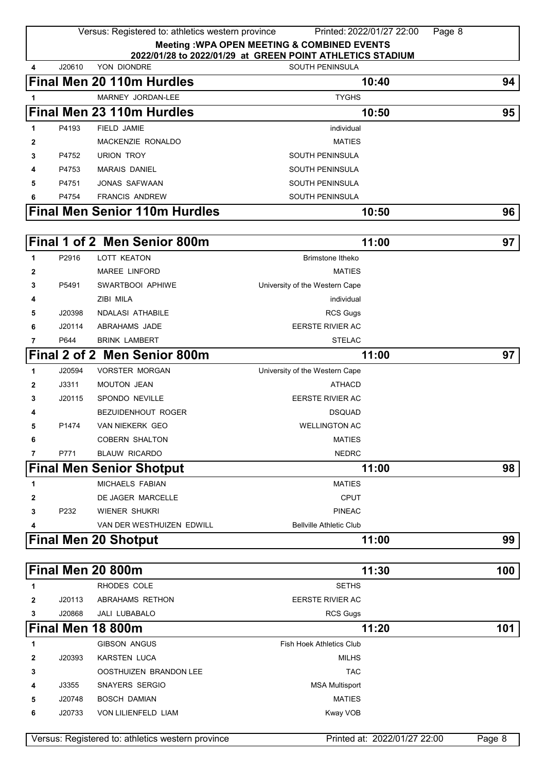|              |                                                        | Versus: Registered to: athletics western province | Printed: 2022/01/27 22:00                                 | Page 8                       |        |  |
|--------------|--------------------------------------------------------|---------------------------------------------------|-----------------------------------------------------------|------------------------------|--------|--|
|              | <b>Meeting: WPA OPEN MEETING &amp; COMBINED EVENTS</b> |                                                   |                                                           |                              |        |  |
|              |                                                        |                                                   | 2022/01/28 to 2022/01/29 at GREEN POINT ATHLETICS STADIUM |                              |        |  |
| 4            | J20610                                                 | YON DIONDRE                                       | SOUTH PENINSULA                                           |                              |        |  |
|              |                                                        | <b>Final Men 20 110m Hurdles</b>                  | 10:40                                                     |                              | 94     |  |
| 1            |                                                        | MARNEY JORDAN-LEE                                 | <b>TYGHS</b>                                              |                              |        |  |
|              |                                                        | Final Men 23 110m Hurdles                         | 10:50                                                     |                              | 95     |  |
| 1            | P4193                                                  | <b>FIELD JAMIE</b>                                | individual                                                |                              |        |  |
| 2            |                                                        | MACKENZIE RONALDO                                 | <b>MATIES</b>                                             |                              |        |  |
| 3            | P4752                                                  | <b>URION TROY</b>                                 | <b>SOUTH PENINSULA</b>                                    |                              |        |  |
| 4            | P4753                                                  | <b>MARAIS DANIEL</b>                              | <b>SOUTH PENINSULA</b>                                    |                              |        |  |
| 5            | P4751                                                  | <b>JONAS SAFWAAN</b>                              | <b>SOUTH PENINSULA</b>                                    |                              |        |  |
| 6            | P4754                                                  | <b>FRANCIS ANDREW</b>                             | <b>SOUTH PENINSULA</b>                                    |                              |        |  |
|              |                                                        | <b>Final Men Senior 110m Hurdles</b>              | 10:50                                                     |                              | 96     |  |
|              |                                                        |                                                   |                                                           |                              |        |  |
|              |                                                        | Final 1 of 2 Men Senior 800m                      | 11:00                                                     |                              | 97     |  |
| $\mathbf{1}$ | P2916                                                  | <b>LOTT KEATON</b>                                | Brimstone Itheko                                          |                              |        |  |
| 2            |                                                        | <b>MAREE LINFORD</b>                              | <b>MATIES</b>                                             |                              |        |  |
| 3            | P5491                                                  | SWARTBOOI APHIWE                                  | University of the Western Cape                            |                              |        |  |
| 4            |                                                        | ZIBI MILA                                         | individual                                                |                              |        |  |
| 5            | J20398                                                 | <b>NDALASI ATHABILE</b>                           | <b>RCS Gugs</b>                                           |                              |        |  |
| 6            | J20114                                                 | ABRAHAMS JADE                                     | <b>EERSTE RIVIER AC</b>                                   |                              |        |  |
| 7            | P644                                                   | <b>BRINK LAMBERT</b>                              | <b>STELAC</b>                                             |                              |        |  |
|              |                                                        | Final 2 of 2 Men Senior 800m                      | 11:00                                                     |                              | 97     |  |
| 1            | J20594                                                 | <b>VORSTER MORGAN</b>                             | University of the Western Cape                            |                              |        |  |
| 2            | J3311                                                  | <b>MOUTON JEAN</b>                                | <b>ATHACD</b>                                             |                              |        |  |
| 3            | J20115                                                 | SPONDO NEVILLE                                    | <b>EERSTE RIVIER AC</b>                                   |                              |        |  |
| 4            |                                                        | <b>BEZUIDENHOUT ROGER</b>                         | <b>DSQUAD</b>                                             |                              |        |  |
| 5            | P1474                                                  | <b>VAN NIEKERK GEO</b>                            | <b>WELLINGTON AC</b>                                      |                              |        |  |
| 6            |                                                        | <b>COBERN SHALTON</b>                             | <b>MATIES</b>                                             |                              |        |  |
| 7            | P771                                                   | <b>BLAUW RICARDO</b>                              | <b>NEDRC</b>                                              |                              |        |  |
|              |                                                        | <b>Final Men Senior Shotput</b>                   | 11:00                                                     |                              | 98     |  |
|              |                                                        |                                                   |                                                           |                              |        |  |
| 1            |                                                        | MICHAELS FABIAN                                   | <b>MATIES</b>                                             |                              |        |  |
| 2            |                                                        | DE JAGER MARCELLE                                 | CPUT                                                      |                              |        |  |
| 3            | P232                                                   | WIENER SHUKRI                                     | <b>PINEAC</b>                                             |                              |        |  |
| 4            |                                                        | VAN DER WESTHUIZEN EDWILL                         | <b>Bellville Athletic Club</b>                            |                              |        |  |
|              |                                                        | <b>Final Men 20 Shotput</b>                       | 11:00                                                     |                              | 99     |  |
|              |                                                        |                                                   |                                                           |                              |        |  |
|              |                                                        | Final Men 20 800m                                 | 11:30                                                     |                              | 100    |  |
| 1            |                                                        | RHODES COLE                                       | <b>SETHS</b>                                              |                              |        |  |
| 2            | J20113                                                 | ABRAHAMS RETHON                                   | <b>EERSTE RIVIER AC</b>                                   |                              |        |  |
| 3            | J20868                                                 | JALI LUBABALO                                     | <b>RCS Gugs</b>                                           |                              |        |  |
|              |                                                        | Final Men 18 800m                                 | 11:20                                                     |                              | 101    |  |
| 1            |                                                        | <b>GIBSON ANGUS</b>                               | Fish Hoek Athletics Club                                  |                              |        |  |
| $\mathbf{2}$ | J20393                                                 | <b>KARSTEN LUCA</b>                               | <b>MILHS</b>                                              |                              |        |  |
| 3            |                                                        | OOSTHUIZEN BRANDON LEE                            | <b>TAC</b>                                                |                              |        |  |
| 4            | J3355                                                  | <b>SNAYERS SERGIO</b>                             | <b>MSA Multisport</b>                                     |                              |        |  |
| 5            | J20748                                                 | <b>BOSCH DAMIAN</b>                               | <b>MATIES</b>                                             |                              |        |  |
| 6            | J20733                                                 | VON LILIENFELD LIAM                               | Kway VOB                                                  |                              |        |  |
|              |                                                        |                                                   |                                                           |                              |        |  |
|              |                                                        | Versus: Registered to: athletics western province |                                                           | Printed at: 2022/01/27 22:00 | Page 8 |  |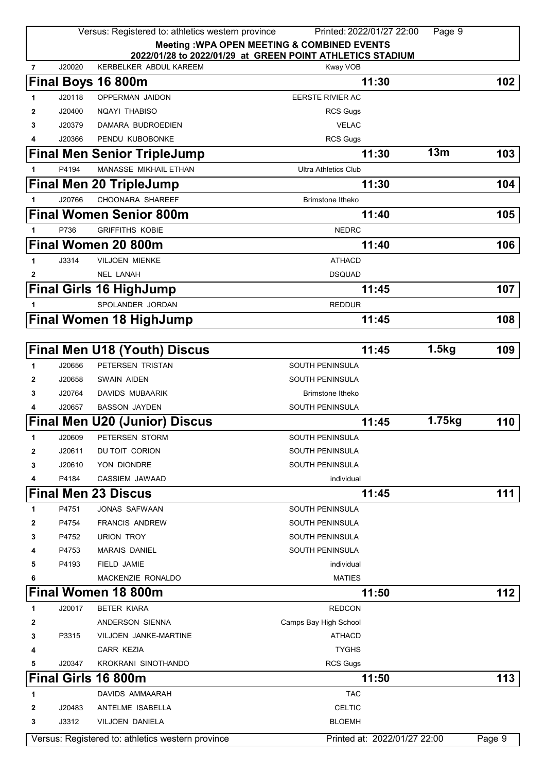|                |        | Versus: Registered to: athletics western province | Printed: 2022/01/27 22:00                                 | Page 9 |        |
|----------------|--------|---------------------------------------------------|-----------------------------------------------------------|--------|--------|
|                |        |                                                   | <b>Meeting: WPA OPEN MEETING &amp; COMBINED EVENTS</b>    |        |        |
|                |        |                                                   | 2022/01/28 to 2022/01/29 at GREEN POINT ATHLETICS STADIUM |        |        |
| $\overline{7}$ | J20020 | KERBELKER ABDUL KAREEM                            | Kway VOB                                                  |        |        |
|                |        | Final Boys 16 800m                                | 11:30                                                     |        | 102    |
| 1              | J20118 | OPPERMAN JAIDON                                   | EERSTE RIVIER AC                                          |        |        |
| 2              | J20400 | NQAYI THABISO                                     | <b>RCS Gugs</b>                                           |        |        |
| 3              | J20379 | DAMARA BUDROEDIEN                                 | <b>VELAC</b>                                              |        |        |
| 4              | J20366 | PENDU KUBOBONKE                                   | <b>RCS Gugs</b>                                           |        |        |
|                |        | <b>Final Men Senior TripleJump</b>                | 11:30                                                     | 13m    | 103    |
| 1              | P4194  | <b>MANASSE MIKHAIL ETHAN</b>                      | <b>Ultra Athletics Club</b>                               |        |        |
|                |        | <b>Final Men 20 TripleJump</b>                    | 11:30                                                     |        | 104    |
| 1              | J20766 | CHOONARA SHAREEF                                  | <b>Brimstone Itheko</b>                                   |        |        |
|                |        | <b>Final Women Senior 800m</b>                    | 11:40                                                     |        | 105    |
| 1              | P736   | <b>GRIFFITHS KOBIE</b>                            | <b>NEDRC</b>                                              |        |        |
|                |        | Final Women 20 800m                               | 11:40                                                     |        | 106    |
|                |        |                                                   |                                                           |        |        |
| 1              | J3314  | <b>VILJOEN MIENKE</b>                             | <b>ATHACD</b>                                             |        |        |
| 2              |        | <b>NEL LANAH</b>                                  | <b>DSQUAD</b>                                             |        |        |
|                |        | <b>Final Girls 16 HighJump</b>                    | 11:45                                                     |        | 107    |
| 1              |        | SPOLANDER JORDAN                                  | <b>REDDUR</b>                                             |        |        |
|                |        | <b>Final Women 18 HighJump</b>                    | 11:45                                                     |        | 108    |
|                |        |                                                   |                                                           |        |        |
|                |        | <b>Final Men U18 (Youth) Discus</b>               | 11:45                                                     | 1.5kg  | 109    |
| 1              | J20656 | PETERSEN TRISTAN                                  | SOUTH PENINSULA                                           |        |        |
| 2              | J20658 | <b>SWAIN AIDEN</b>                                | <b>SOUTH PENINSULA</b>                                    |        |        |
| 3              | J20764 | DAVIDS MUBAARIK                                   | Brimstone Itheko                                          |        |        |
| 4              | J20657 | <b>BASSON JAYDEN</b>                              | <b>SOUTH PENINSULA</b>                                    |        |        |
|                |        | <b>Final Men U20 (Junior) Discus</b>              | 11:45                                                     | 1.75kg | 110    |
| 1.             | J20609 | PETERSEN STORM                                    | SOUTH PENINSULA                                           |        |        |
| $\mathbf{2}$   | J20611 | DU TOIT CORION                                    | <b>SOUTH PENINSULA</b>                                    |        |        |
| 3              | J20610 | YON DIONDRE                                       | <b>SOUTH PENINSULA</b>                                    |        |        |
| 4              | P4184  | CASSIEM JAWAAD                                    | individual                                                |        |        |
|                |        | <b>Final Men 23 Discus</b>                        | 11:45                                                     |        | 111    |
| 1              | P4751  | <b>JONAS SAFWAAN</b>                              | <b>SOUTH PENINSULA</b>                                    |        |        |
| 2              | P4754  | <b>FRANCIS ANDREW</b>                             | <b>SOUTH PENINSULA</b>                                    |        |        |
| 3              | P4752  | <b>URION TROY</b>                                 | <b>SOUTH PENINSULA</b>                                    |        |        |
| 4              | P4753  | <b>MARAIS DANIEL</b>                              | <b>SOUTH PENINSULA</b>                                    |        |        |
| 5              | P4193  | FIELD JAMIE                                       | individual                                                |        |        |
| 6              |        | MACKENZIE RONALDO                                 | <b>MATIES</b>                                             |        |        |
|                |        | <b>Final Women 18 800m</b>                        | 11:50                                                     |        | 112    |
| 1              | J20017 | <b>BETER KIARA</b>                                | <b>REDCON</b>                                             |        |        |
| 2              |        | ANDERSON SIENNA                                   | Camps Bay High School                                     |        |        |
| 3              | P3315  | VILJOEN JANKE-MARTINE                             | <b>ATHACD</b>                                             |        |        |
| 4              |        | <b>CARR KEZIA</b>                                 | <b>TYGHS</b>                                              |        |        |
| 5              | J20347 | KROKRANI SINOTHANDO                               | <b>RCS Gugs</b>                                           |        |        |
|                |        | Final Girls 16 800m                               | 11:50                                                     |        | 113    |
| 1              |        | DAVIDS AMMAARAH                                   | <b>TAC</b>                                                |        |        |
| 2              | J20483 | ANTELME ISABELLA                                  | <b>CELTIC</b>                                             |        |        |
| 3              | J3312  | VILJOEN DANIELA                                   | <b>BLOEMH</b>                                             |        |        |
|                |        |                                                   |                                                           |        |        |
|                |        | Versus: Registered to: athletics western province | Printed at: 2022/01/27 22:00                              |        | Page 9 |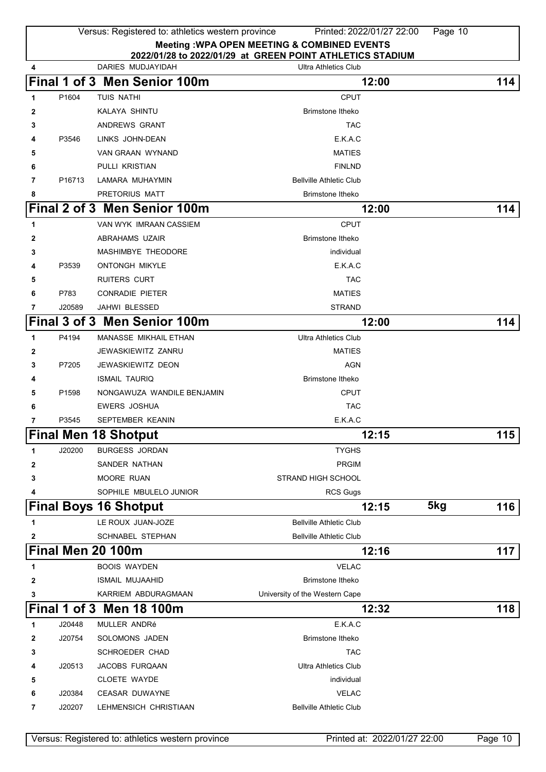|              |                    | Versus: Registered to: athletics western province |                                                           | Printed: 2022/01/27 22:00 | Page 10 |     |
|--------------|--------------------|---------------------------------------------------|-----------------------------------------------------------|---------------------------|---------|-----|
|              |                    |                                                   | <b>Meeting: WPA OPEN MEETING &amp; COMBINED EVENTS</b>    |                           |         |     |
|              |                    | DARIES MUDJAYIDAH                                 | 2022/01/28 to 2022/01/29 at GREEN POINT ATHLETICS STADIUM |                           |         |     |
| 4            |                    |                                                   | <b>Ultra Athletics Club</b>                               |                           |         |     |
|              |                    | Final 1 of 3 Men Senior 100m                      |                                                           | 12:00                     |         | 114 |
| 1            | P1604              | TUIS NATHI                                        | <b>CPUT</b>                                               |                           |         |     |
| 2            |                    | KALAYA SHINTU                                     | Brimstone Itheko                                          |                           |         |     |
| 3            |                    | ANDREWS GRANT                                     | <b>TAC</b>                                                |                           |         |     |
| 4            | P3546              | LINKS JOHN-DEAN                                   | E.K.A.C                                                   |                           |         |     |
| 5            |                    | VAN GRAAN WYNAND                                  | <b>MATIES</b>                                             |                           |         |     |
| 6            |                    | PULLI KRISTIAN                                    | <b>FINLND</b>                                             |                           |         |     |
| 7            | P <sub>16713</sub> | LAMARA MUHAYMIN                                   | <b>Bellville Athletic Club</b>                            |                           |         |     |
| 8            |                    | PRETORIUS MATT                                    | <b>Brimstone Itheko</b>                                   |                           |         |     |
|              |                    | Final 2 of 3 Men Senior 100m                      |                                                           | 12:00                     |         | 114 |
| 1            |                    | VAN WYK IMRAAN CASSIEM                            | <b>CPUT</b>                                               |                           |         |     |
| 2            |                    | ABRAHAMS UZAIR                                    | <b>Brimstone Itheko</b>                                   |                           |         |     |
| 3            |                    | MASHIMBYE THEODORE                                | individual                                                |                           |         |     |
| 4            | P3539              | <b>ONTONGH MIKYLE</b>                             | E.K.A.C                                                   |                           |         |     |
| 5            |                    | <b>RUITERS CURT</b>                               | <b>TAC</b>                                                |                           |         |     |
| 6            | P783               | <b>CONRADIE PIETER</b>                            | <b>MATIES</b>                                             |                           |         |     |
| 7            | J20589             | JAHWI BLESSED                                     | <b>STRAND</b>                                             |                           |         |     |
|              |                    | Final 3 of 3 Men Senior 100m                      |                                                           | 12:00                     |         | 114 |
| $\mathbf{1}$ | P4194              | MANASSE MIKHAIL ETHAN                             | <b>Ultra Athletics Club</b>                               |                           |         |     |
| 2            |                    | JEWASKIEWITZ ZANRU                                | <b>MATIES</b>                                             |                           |         |     |
| 3            | P7205              | <b>JEWASKIEWITZ DEON</b>                          | <b>AGN</b>                                                |                           |         |     |
| 4            |                    | <b>ISMAIL TAURIQ</b>                              | Brimstone Itheko                                          |                           |         |     |
| 5            | P1598              | NONGAWUZA WANDILE BENJAMIN                        | <b>CPUT</b>                                               |                           |         |     |
| 6            |                    | <b>EWERS JOSHUA</b>                               | <b>TAC</b>                                                |                           |         |     |
| 7            | P3545              | SEPTEMBER KEANIN                                  | E.K.A.C                                                   |                           |         |     |
|              |                    | <b>Final Men 18 Shotput</b>                       |                                                           | 12:15                     |         | 115 |
|              |                    |                                                   |                                                           |                           |         |     |
| 1            | J20200             | <b>BURGESS JORDAN</b>                             | <b>TYGHS</b><br><b>PRGIM</b>                              |                           |         |     |
| 2            |                    | SANDER NATHAN                                     |                                                           |                           |         |     |
| 3            |                    | MOORE RUAN                                        | STRAND HIGH SCHOOL                                        |                           |         |     |
| 4            |                    | SOPHILE MBULELO JUNIOR                            | <b>RCS Gugs</b>                                           |                           |         |     |
|              |                    | <b>Final Boys 16 Shotput</b>                      |                                                           | 12:15                     | 5kg     | 116 |
| 1            |                    | LE ROUX JUAN-JOZE                                 | <b>Bellville Athletic Club</b>                            |                           |         |     |
| 2            |                    | SCHNABEL STEPHAN                                  | <b>Bellville Athletic Club</b>                            |                           |         |     |
|              |                    | Final Men 20 100m                                 |                                                           | 12:16                     |         | 117 |
| 1            |                    | <b>BOOIS WAYDEN</b>                               | <b>VELAC</b>                                              |                           |         |     |
| 2            |                    | <b>ISMAIL MUJAAHID</b>                            | <b>Brimstone Itheko</b>                                   |                           |         |     |
| 3            |                    | KARRIEM ABDURAGMAAN                               | University of the Western Cape                            |                           |         |     |
|              |                    | <b>Final 1 of 3 Men 18 100m</b>                   |                                                           | 12:32                     |         | 118 |
| 1            | J20448             | MULLER ANDRé                                      | E.K.A.C                                                   |                           |         |     |
| 2            | J20754             | SOLOMONS JADEN                                    | <b>Brimstone Itheko</b>                                   |                           |         |     |
| 3            |                    | <b>SCHROEDER CHAD</b>                             | <b>TAC</b>                                                |                           |         |     |
| 4            | J20513             | JACOBS FURQAAN                                    | <b>Ultra Athletics Club</b>                               |                           |         |     |
| 5            |                    | <b>CLOETE WAYDE</b>                               | individual                                                |                           |         |     |
| 6            | J20384             | <b>CEASAR DUWAYNE</b>                             | <b>VELAC</b>                                              |                           |         |     |
| 7            | J20207             | LEHMENSICH CHRISTIAAN                             | <b>Bellville Athletic Club</b>                            |                           |         |     |
|              |                    |                                                   |                                                           |                           |         |     |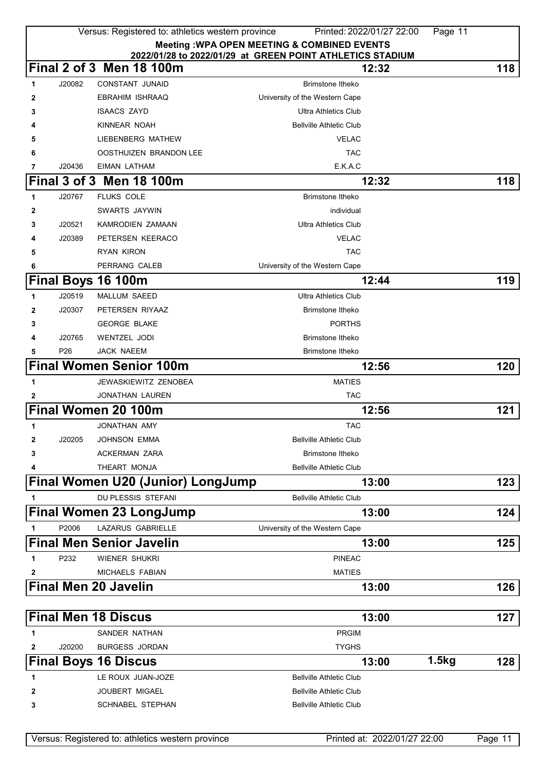|   |                 | Versus: Registered to: athletics western province | Printed: 2022/01/27 22:00                                          | Page 11 |     |
|---|-----------------|---------------------------------------------------|--------------------------------------------------------------------|---------|-----|
|   |                 |                                                   | <b>Meeting: WPA OPEN MEETING &amp; COMBINED EVENTS</b>             |         |     |
|   |                 | Final 2 of 3 Men 18 100m                          | 2022/01/28 to 2022/01/29 at GREEN POINT ATHLETICS STADIUM<br>12:32 |         | 118 |
| 1 | J20082          | <b>CONSTANT JUNAID</b>                            | Brimstone Itheko                                                   |         |     |
| 2 |                 | EBRAHIM ISHRAAQ                                   | University of the Western Cape                                     |         |     |
| 3 |                 | <b>ISAACS ZAYD</b>                                | <b>Ultra Athletics Club</b>                                        |         |     |
|   |                 | KINNEAR NOAH                                      | <b>Bellville Athletic Club</b>                                     |         |     |
| 5 |                 | LIEBENBERG MATHEW                                 | <b>VELAC</b>                                                       |         |     |
| 6 |                 | OOSTHUIZEN BRANDON LEE                            | <b>TAC</b>                                                         |         |     |
| 7 | J20436          | EIMAN LATHAM                                      | E.K.A.C                                                            |         |     |
|   |                 | Final 3 of 3 Men 18 100m                          | 12:32                                                              |         | 118 |
| 1 | J20767          | <b>FLUKS COLE</b>                                 | <b>Brimstone Itheko</b>                                            |         |     |
| 2 |                 | SWARTS JAYWIN                                     | individual                                                         |         |     |
| 3 | J20521          | <b>KAMRODIEN ZAMAAN</b>                           | <b>Ultra Athletics Club</b>                                        |         |     |
| 4 | J20389          | PETERSEN KEERACO                                  | <b>VELAC</b>                                                       |         |     |
| 5 |                 | RYAN KIRON                                        | <b>TAC</b>                                                         |         |     |
| 6 |                 | PERRANG CALEB                                     | University of the Western Cape                                     |         |     |
|   |                 | Final Boys 16 100m                                | 12:44                                                              |         | 119 |
| 1 | J20519          | <b>MALLUM SAEED</b>                               | <b>Ultra Athletics Club</b>                                        |         |     |
| 2 | J20307          | PETERSEN RIYAAZ                                   | <b>Brimstone Itheko</b>                                            |         |     |
| 3 |                 | <b>GEORGE BLAKE</b>                               | <b>PORTHS</b>                                                      |         |     |
| 4 | J20765          | <b>WENTZEL JODI</b>                               | <b>Brimstone Itheko</b>                                            |         |     |
| 5 | P <sub>26</sub> | <b>JACK NAEEM</b>                                 | Brimstone Itheko                                                   |         |     |
|   |                 | <b>Final Women Senior 100m</b>                    | 12:56                                                              |         | 120 |
| 1 |                 | <b>JEWASKIEWITZ ZENOBEA</b>                       | <b>MATIES</b>                                                      |         |     |
|   |                 | <b>JONATHAN LAUREN</b>                            | <b>TAC</b>                                                         |         |     |
| 2 |                 | <b>Final Women 20 100m</b>                        | 12:56                                                              |         | 121 |
|   |                 |                                                   |                                                                    |         |     |
| 1 |                 | JONATHAN AMY                                      | <b>TAC</b>                                                         |         |     |
| 2 | J20205          | <b>JOHNSON EMMA</b>                               | <b>Bellville Athletic Club</b>                                     |         |     |
| 3 |                 | <b>ACKERMAN ZARA</b>                              | <b>Brimstone Itheko</b>                                            |         |     |
|   |                 | THEART MONJA                                      | <b>Bellville Athletic Club</b>                                     |         |     |
|   |                 | <b>Final Women U20 (Junior) LongJump</b>          | 13:00                                                              |         | 123 |
| 1 |                 | DU PLESSIS STEFANI                                | <b>Bellville Athletic Club</b>                                     |         |     |
|   |                 | <b>Final Women 23 LongJump</b>                    | 13:00                                                              |         | 124 |
| 1 | P2006           | <b>LAZARUS GABRIELLE</b>                          | University of the Western Cape                                     |         |     |
|   |                 | <b>Final Men Senior Javelin</b>                   | 13:00                                                              |         | 125 |
| 1 | P232            | <b>WIENER SHUKRI</b>                              | <b>PINEAC</b>                                                      |         |     |
| 2 |                 | <b>MICHAELS FABIAN</b>                            | <b>MATIES</b>                                                      |         |     |
|   |                 | <b>Final Men 20 Javelin</b>                       | 13:00                                                              |         | 126 |
|   |                 |                                                   |                                                                    |         |     |
|   |                 | <b>Final Men 18 Discus</b>                        | 13:00                                                              |         | 127 |
| 1 |                 | SANDER NATHAN                                     | <b>PRGIM</b>                                                       |         |     |
| 2 | J20200          | <b>BURGESS JORDAN</b>                             | <b>TYGHS</b>                                                       |         |     |
|   |                 | <b>Final Boys 16 Discus</b>                       | 13:00                                                              | 1.5kg   | 128 |
| 1 |                 | LE ROUX JUAN-JOZE                                 | <b>Bellville Athletic Club</b>                                     |         |     |
| 2 |                 | JOUBERT MIGAEL                                    | <b>Bellville Athletic Club</b>                                     |         |     |
| 3 |                 | <b>SCHNABEL STEPHAN</b>                           | <b>Bellville Athletic Club</b>                                     |         |     |
|   |                 |                                                   |                                                                    |         |     |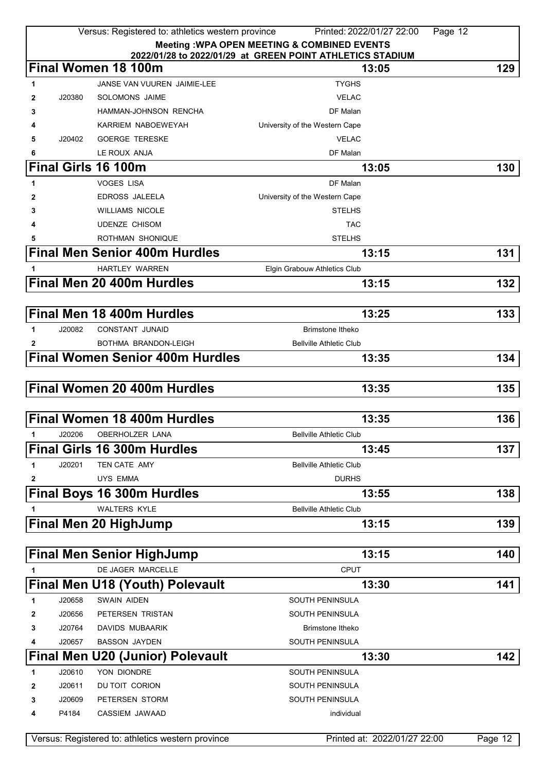|   |        | Versus: Registered to: athletics western province | Printed: 2022/01/27 22:00                                 | Page 12 |
|---|--------|---------------------------------------------------|-----------------------------------------------------------|---------|
|   |        |                                                   | <b>Meeting: WPA OPEN MEETING &amp; COMBINED EVENTS</b>    |         |
|   |        |                                                   | 2022/01/28 to 2022/01/29 at GREEN POINT ATHLETICS STADIUM |         |
|   |        | Final Women 18 100m                               | 13:05                                                     | 129     |
| 1 |        | JANSE VAN VUUREN JAIMIE-LEE                       | <b>TYGHS</b>                                              |         |
| 2 | J20380 | SOLOMONS JAIME                                    | <b>VELAC</b>                                              |         |
| 3 |        | HAMMAN-JOHNSON RENCHA                             | DF Malan                                                  |         |
| 4 |        | KARRIEM NABOEWEYAH                                | University of the Western Cape                            |         |
| 5 | J20402 | <b>GOERGE TERESKE</b>                             | <b>VELAC</b>                                              |         |
| 6 |        | LE ROUX ANJA                                      | DF Malan                                                  |         |
|   |        | <b>Final Girls 16 100m</b>                        | 13:05                                                     | 130     |
| 1 |        | <b>VOGES LISA</b>                                 | DF Malan                                                  |         |
| 2 |        | <b>EDROSS JALEELA</b>                             | University of the Western Cape                            |         |
| 3 |        | <b>WILLIAMS NICOLE</b>                            | <b>STELHS</b>                                             |         |
| 4 |        | <b>UDENZE CHISOM</b>                              | <b>TAC</b>                                                |         |
| 5 |        | ROTHMAN SHONIQUE                                  | <b>STELHS</b>                                             |         |
|   |        | <b>Final Men Senior 400m Hurdles</b>              | 13:15                                                     | 131     |
| 1 |        | <b>HARTLEY WARREN</b>                             | Elgin Grabouw Athletics Club                              |         |
|   |        | Final Men 20 400m Hurdles                         |                                                           | 132     |
|   |        |                                                   | 13:15                                                     |         |
|   |        |                                                   |                                                           |         |
|   |        | <b>Final Men 18 400m Hurdles</b>                  | 13:25                                                     | 133     |
| 1 | J20082 | <b>CONSTANT JUNAID</b>                            | Brimstone Itheko                                          |         |
| 2 |        | BOTHMA BRANDON-LEIGH                              | <b>Bellville Athletic Club</b>                            |         |
|   |        | <b>Final Women Senior 400m Hurdles</b>            | 13:35                                                     | 134     |
|   |        |                                                   |                                                           |         |
|   |        | <b>Final Women 20 400m Hurdles</b>                | 13:35                                                     | 135     |
|   |        |                                                   |                                                           |         |
|   |        | <b>Final Women 18 400m Hurdles</b>                | 13:35                                                     | 136     |
|   |        |                                                   |                                                           |         |
| 1 | J20206 | OBERHOLZER LANA                                   | Bellville Athletic Club                                   |         |
|   |        | <b>Final Girls 16 300m Hurdles</b>                | 13:45                                                     | 137     |
| 1 | J20201 | TEN CATE AMY                                      | <b>Bellville Athletic Club</b>                            |         |
| 2 |        | <b>UYS EMMA</b>                                   | <b>DURHS</b>                                              |         |
|   |        | <b>Final Boys 16 300m Hurdles</b>                 | 13:55                                                     | 138     |
| 1 |        | <b>WALTERS KYLE</b>                               | <b>Bellville Athletic Club</b>                            |         |
|   |        | <b>Final Men 20 HighJump</b>                      | 13:15                                                     | 139     |
|   |        |                                                   |                                                           |         |
|   |        | <b>Final Men Senior HighJump</b>                  | 13:15                                                     | 140     |
|   |        | DE JAGER MARCELLE                                 | <b>CPUT</b>                                               |         |
|   |        |                                                   |                                                           |         |
|   |        | <b>Final Men U18 (Youth) Polevault</b>            | 13:30                                                     | 141     |
| 1 | J20658 | <b>SWAIN AIDEN</b>                                | <b>SOUTH PENINSULA</b>                                    |         |
| 2 | J20656 | PETERSEN TRISTAN                                  | SOUTH PENINSULA                                           |         |
| 3 | J20764 | DAVIDS MUBAARIK                                   | Brimstone Itheko                                          |         |
| 4 | J20657 | <b>BASSON JAYDEN</b>                              | SOUTH PENINSULA                                           |         |
|   |        | <b>Final Men U20 (Junior) Polevault</b>           | 13:30                                                     | 142     |
| 1 | J20610 | YON DIONDRE                                       | <b>SOUTH PENINSULA</b>                                    |         |
| 2 | J20611 | DU TOIT CORION                                    | SOUTH PENINSULA                                           |         |
| 3 | J20609 | PETERSEN STORM                                    | <b>SOUTH PENINSULA</b>                                    |         |
| 4 | P4184  | CASSIEM JAWAAD                                    | individual                                                |         |
|   |        |                                                   |                                                           |         |
|   |        | Versus: Registered to: athletics western province | Printed at: 2022/01/27 22:00                              | Page 12 |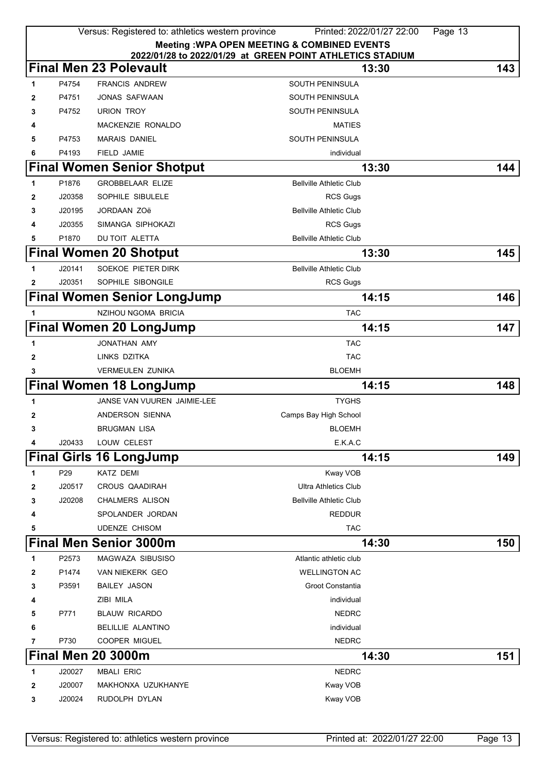|   |                 | Versus: Registered to: athletics western province | Printed: 2022/01/27 22:00<br>Page 13                                                                      |     |
|---|-----------------|---------------------------------------------------|-----------------------------------------------------------------------------------------------------------|-----|
|   |                 |                                                   | Meeting : WPA OPEN MEETING & COMBINED EVENTS<br>2022/01/28 to 2022/01/29 at GREEN POINT ATHLETICS STADIUM |     |
|   |                 | <b>Final Men 23 Polevault</b>                     | 13:30                                                                                                     | 143 |
| 1 | P4754           | <b>FRANCIS ANDREW</b>                             | <b>SOUTH PENINSULA</b>                                                                                    |     |
| 2 | P4751           | <b>JONAS SAFWAAN</b>                              | SOUTH PENINSULA                                                                                           |     |
| 3 | P4752           | <b>URION TROY</b>                                 | SOUTH PENINSULA                                                                                           |     |
| 4 |                 | MACKENZIE RONALDO                                 | <b>MATIES</b>                                                                                             |     |
| 5 | P4753           | <b>MARAIS DANIEL</b>                              | <b>SOUTH PENINSULA</b>                                                                                    |     |
| 6 | P4193           | <b>FIELD JAMIE</b>                                | individual                                                                                                |     |
|   |                 | <b>Final Women Senior Shotput</b>                 | 13:30                                                                                                     | 144 |
| 1 | P1876           | <b>GROBBELAAR ELIZE</b>                           | <b>Bellville Athletic Club</b>                                                                            |     |
| 2 | J20358          | SOPHILE SIBULELE                                  | <b>RCS Gugs</b>                                                                                           |     |
| 3 | J20195          | <b>JORDAAN ZOë</b>                                | <b>Bellville Athletic Club</b>                                                                            |     |
| 4 | J20355          | SIMANGA SIPHOKAZI                                 | <b>RCS Gugs</b>                                                                                           |     |
| 5 | P1870           | DU TOIT ALETTA                                    | <b>Bellville Athletic Club</b>                                                                            |     |
|   |                 | <b>Final Women 20 Shotput</b>                     | 13:30                                                                                                     | 145 |
| 1 | J20141          | SOEKOE PIETER DIRK                                | <b>Bellville Athletic Club</b>                                                                            |     |
| 2 | J20351          | SOPHILE SIBONGILE                                 | <b>RCS Gugs</b>                                                                                           |     |
|   |                 | <b>Final Women Senior LongJump</b>                | 14:15                                                                                                     | 146 |
| 1 |                 | NZIHOU NGOMA BRICIA                               | <b>TAC</b>                                                                                                |     |
|   |                 | <b>Final Women 20 LongJump</b>                    | 14:15                                                                                                     | 147 |
| 1 |                 | JONATHAN AMY                                      | <b>TAC</b>                                                                                                |     |
| 2 |                 | LINKS DZITKA                                      | <b>TAC</b>                                                                                                |     |
| 3 |                 | <b>VERMEULEN ZUNIKA</b>                           | <b>BLOEMH</b>                                                                                             |     |
|   |                 | <b>Final Women 18 LongJump</b>                    | 14:15                                                                                                     | 148 |
| 1 |                 | JANSE VAN VUUREN JAIMIE-LEE                       | <b>TYGHS</b>                                                                                              |     |
| 2 |                 | ANDERSON SIENNA                                   | Camps Bay High School                                                                                     |     |
| 3 |                 | <b>BRUGMAN LISA</b>                               | <b>BLOEMH</b>                                                                                             |     |
| 4 | J20433          | LOUW CELEST                                       | E.K.A.C                                                                                                   |     |
|   |                 | <b>Final Girls 16 LongJump</b>                    | 14:15                                                                                                     | 149 |
| 1 | P <sub>29</sub> | <b>KATZ DEMI</b>                                  | Kway VOB                                                                                                  |     |
| 2 | J20517          | CROUS QAADIRAH                                    | <b>Ultra Athletics Club</b>                                                                               |     |
| 3 | J20208          | CHALMERS ALISON                                   | <b>Bellville Athletic Club</b>                                                                            |     |
| 4 |                 | SPOLANDER JORDAN                                  | <b>REDDUR</b>                                                                                             |     |
| 5 |                 | <b>UDENZE CHISOM</b>                              | <b>TAC</b>                                                                                                |     |
|   |                 | <b>Final Men Senior 3000m</b>                     | 14:30                                                                                                     | 150 |
| 1 | P2573           | MAGWAZA SIBUSISO                                  | Atlantic athletic club                                                                                    |     |
| 2 | P1474           | VAN NIEKERK GEO                                   | <b>WELLINGTON AC</b>                                                                                      |     |
| 3 | P3591           | <b>BAILEY JASON</b>                               | Groot Constantia                                                                                          |     |
| 4 |                 | ZIBI MILA                                         | individual                                                                                                |     |
| 5 | P771            | <b>BLAUW RICARDO</b>                              | <b>NEDRC</b>                                                                                              |     |
| 6 |                 | BELILLIE ALANTINO                                 | individual                                                                                                |     |
| 7 | P730            | <b>COOPER MIGUEL</b>                              | <b>NEDRC</b>                                                                                              |     |
|   |                 | <b>Final Men 20 3000m</b>                         | 14:30                                                                                                     | 151 |
| 1 | J20027          | <b>MBALI ERIC</b>                                 | <b>NEDRC</b>                                                                                              |     |
| 2 | J20007          | MAKHONXA UZUKHANYE                                | Kway VOB                                                                                                  |     |
| 3 | J20024          | RUDOLPH DYLAN                                     | Kway VOB                                                                                                  |     |
|   |                 |                                                   |                                                                                                           |     |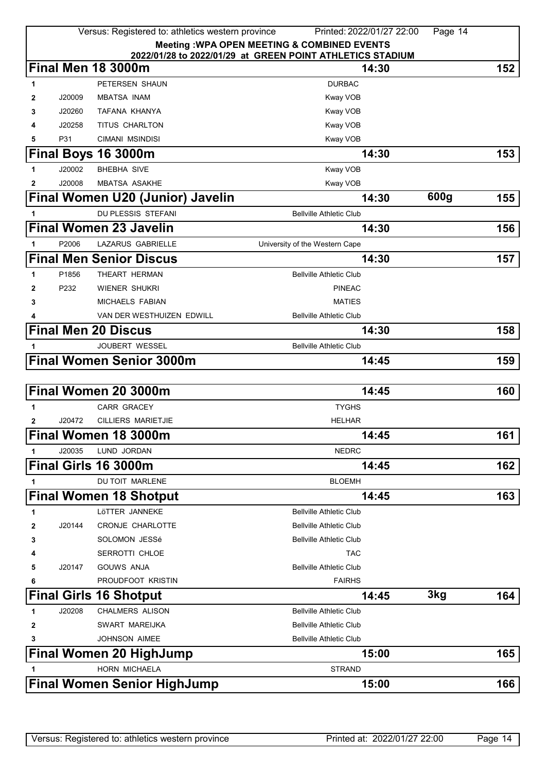| Versus: Registered to: athletics western province<br>Printed: 2022/01/27 22:00<br>Page 14 |                                                                                                 |                                    |                                                        |      |     |  |
|-------------------------------------------------------------------------------------------|-------------------------------------------------------------------------------------------------|------------------------------------|--------------------------------------------------------|------|-----|--|
|                                                                                           |                                                                                                 |                                    | <b>Meeting: WPA OPEN MEETING &amp; COMBINED EVENTS</b> |      |     |  |
|                                                                                           | 2022/01/28 to 2022/01/29 at GREEN POINT ATHLETICS STADIUM<br>Final Men 18 3000m<br>152<br>14:30 |                                    |                                                        |      |     |  |
| 1                                                                                         |                                                                                                 | PETERSEN SHAUN                     | <b>DURBAC</b>                                          |      |     |  |
| 2                                                                                         | J20009                                                                                          | <b>MBATSA INAM</b>                 | Kway VOB                                               |      |     |  |
| 3                                                                                         | J20260                                                                                          | TAFANA KHANYA                      | Kway VOB                                               |      |     |  |
| 4                                                                                         | J20258                                                                                          | TITUS CHARLTON                     | Kway VOB                                               |      |     |  |
| 5                                                                                         | P31                                                                                             | <b>CIMANI MSINDISI</b>             | Kway VOB                                               |      |     |  |
|                                                                                           |                                                                                                 | <b>Final Boys 16 3000m</b>         | 14:30                                                  |      | 153 |  |
| 1                                                                                         | J20002                                                                                          | <b>BHEBHA SIVE</b>                 | Kway VOB                                               |      |     |  |
| $\mathbf{2}$                                                                              | J20008                                                                                          | <b>MBATSA ASAKHE</b>               | Kway VOB                                               |      |     |  |
|                                                                                           |                                                                                                 | Final Women U20 (Junior) Javelin   | 14:30                                                  | 600g | 155 |  |
| 1                                                                                         |                                                                                                 | DU PLESSIS STEFANI                 | <b>Bellville Athletic Club</b>                         |      |     |  |
|                                                                                           |                                                                                                 | <b>Final Women 23 Javelin</b>      | 14:30                                                  |      | 156 |  |
| 1                                                                                         | P2006                                                                                           | LAZARUS GABRIELLE                  | University of the Western Cape                         |      |     |  |
|                                                                                           |                                                                                                 | <b>Final Men Senior Discus</b>     | 14:30                                                  |      | 157 |  |
| 1                                                                                         | P1856                                                                                           | THEART HERMAN                      | <b>Bellville Athletic Club</b>                         |      |     |  |
| $\mathbf{2}$                                                                              | P <sub>232</sub>                                                                                | <b>WIENER SHUKRI</b>               | <b>PINEAC</b>                                          |      |     |  |
| 3                                                                                         |                                                                                                 | MICHAELS FABIAN                    | <b>MATIES</b>                                          |      |     |  |
| 4                                                                                         |                                                                                                 | VAN DER WESTHUIZEN EDWILL          | <b>Bellville Athletic Club</b>                         |      |     |  |
|                                                                                           |                                                                                                 | <b>Final Men 20 Discus</b>         | 14:30                                                  |      | 158 |  |
|                                                                                           |                                                                                                 | JOUBERT WESSEL                     | <b>Bellville Athletic Club</b>                         |      |     |  |
|                                                                                           |                                                                                                 | <b>Final Women Senior 3000m</b>    | 14:45                                                  |      | 159 |  |
|                                                                                           |                                                                                                 |                                    |                                                        |      |     |  |
|                                                                                           |                                                                                                 | Final Women 20 3000m               | 14:45                                                  |      | 160 |  |
| 1                                                                                         |                                                                                                 | <b>CARR GRACEY</b>                 | <b>TYGHS</b>                                           |      |     |  |
| $\mathbf{2}$                                                                              | J20472                                                                                          | CILLIERS MARIETJIE                 | <b>HELHAR</b>                                          |      |     |  |
|                                                                                           |                                                                                                 | Final Women 18 3000m               | 14:45                                                  |      | 161 |  |
| 1                                                                                         | J20035                                                                                          | LUND JORDAN                        | <b>NEDRC</b>                                           |      |     |  |
|                                                                                           |                                                                                                 | <b>Final Girls 16 3000m</b>        | 14:45                                                  |      | 162 |  |
| 1                                                                                         |                                                                                                 | DU TOIT MARLENE                    | <b>BLOEMH</b>                                          |      |     |  |
|                                                                                           |                                                                                                 | <b>Final Women 18 Shotput</b>      | 14:45                                                  |      | 163 |  |
| 1                                                                                         |                                                                                                 | LÖTTER JANNEKE                     | <b>Bellville Athletic Club</b>                         |      |     |  |
| 2                                                                                         | J20144                                                                                          | <b>CRONJE CHARLOTTE</b>            | <b>Bellville Athletic Club</b>                         |      |     |  |
| 3                                                                                         |                                                                                                 | SOLOMON JESSé                      | <b>Bellville Athletic Club</b>                         |      |     |  |
| 4                                                                                         |                                                                                                 | SERROTTI CHLOE                     | <b>TAC</b>                                             |      |     |  |
| 5                                                                                         | J20147                                                                                          | <b>GOUWS ANJA</b>                  | <b>Bellville Athletic Club</b>                         |      |     |  |
| 6                                                                                         |                                                                                                 | PROUDFOOT KRISTIN                  | <b>FAIRHS</b>                                          |      |     |  |
|                                                                                           |                                                                                                 | <b>Final Girls 16 Shotput</b>      | 14:45                                                  | 3kg  | 164 |  |
| 1                                                                                         | J20208                                                                                          | <b>CHALMERS ALISON</b>             | <b>Bellville Athletic Club</b>                         |      |     |  |
| 2                                                                                         |                                                                                                 | SWART MAREIJKA                     | <b>Bellville Athletic Club</b>                         |      |     |  |
| 3                                                                                         |                                                                                                 | JOHNSON AIMEE                      | <b>Bellville Athletic Club</b>                         |      |     |  |
|                                                                                           |                                                                                                 | <b>Final Women 20 HighJump</b>     | 15:00                                                  |      | 165 |  |
|                                                                                           |                                                                                                 | <b>HORN MICHAELA</b>               | <b>STRAND</b>                                          |      |     |  |
|                                                                                           |                                                                                                 | <b>Final Women Senior HighJump</b> | 15:00                                                  |      | 166 |  |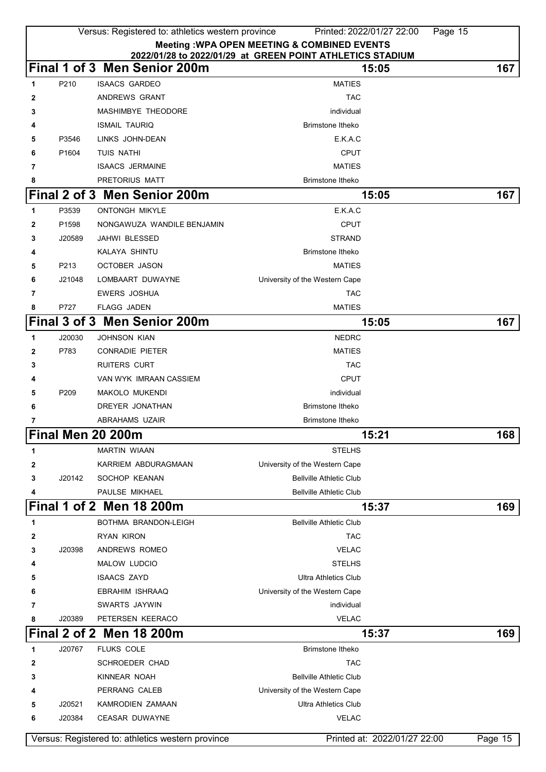|   | Versus: Registered to: athletics western province<br>Printed: 2022/01/27 22:00<br>Page 15 |                                                   |                                |                              |         |  |
|---|-------------------------------------------------------------------------------------------|---------------------------------------------------|--------------------------------|------------------------------|---------|--|
|   | <b>Meeting: WPA OPEN MEETING &amp; COMBINED EVENTS</b>                                    |                                                   |                                |                              |         |  |
|   | 2022/01/28 to 2022/01/29 at GREEN POINT ATHLETICS STADIUM                                 |                                                   |                                |                              |         |  |
|   |                                                                                           | Final 1 of 3 Men Senior 200m                      |                                | 15:05                        | 167     |  |
| 1 | P210                                                                                      | <b>ISAACS GARDEO</b>                              | <b>MATIES</b>                  |                              |         |  |
| 2 |                                                                                           | ANDREWS GRANT                                     | <b>TAC</b>                     |                              |         |  |
| 3 |                                                                                           | <b>MASHIMBYE THEODORE</b>                         | individual                     |                              |         |  |
| 4 |                                                                                           | <b>ISMAIL TAURIQ</b>                              | Brimstone Itheko               |                              |         |  |
| 5 | P3546                                                                                     | LINKS JOHN-DEAN                                   | E.K.A.C                        |                              |         |  |
| 6 | P1604                                                                                     | <b>TUIS NATHI</b>                                 | <b>CPUT</b>                    |                              |         |  |
| 7 |                                                                                           | <b>ISAACS JERMAINE</b>                            | <b>MATIES</b>                  |                              |         |  |
| 8 |                                                                                           | PRETORIUS MATT                                    | <b>Brimstone Itheko</b>        |                              |         |  |
|   |                                                                                           | Final 2 of 3 Men Senior 200m                      |                                | 15:05                        | 167     |  |
| 1 | P3539                                                                                     | <b>ONTONGH MIKYLE</b>                             | E.K.A.C                        |                              |         |  |
| 2 | P1598                                                                                     | NONGAWUZA WANDILE BENJAMIN                        | <b>CPUT</b>                    |                              |         |  |
| 3 | J20589                                                                                    | JAHWI BLESSED                                     | <b>STRAND</b>                  |                              |         |  |
|   |                                                                                           | KALAYA SHINTU                                     | Brimstone Itheko               |                              |         |  |
| 5 | P213                                                                                      | <b>OCTOBER JASON</b>                              | <b>MATIES</b>                  |                              |         |  |
| 6 | J21048                                                                                    | LOMBAART DUWAYNE                                  | University of the Western Cape |                              |         |  |
| 7 |                                                                                           | <b>EWERS JOSHUA</b>                               | <b>TAC</b>                     |                              |         |  |
| 8 | P727                                                                                      | <b>FLAGG JADEN</b>                                | <b>MATIES</b>                  |                              |         |  |
|   |                                                                                           | Final 3 of 3 Men Senior 200m                      |                                | 15:05                        | 167     |  |
| 1 | J20030                                                                                    | <b>JOHNSON KIAN</b>                               | <b>NEDRC</b>                   |                              |         |  |
| 2 | P783                                                                                      | <b>CONRADIE PIETER</b>                            | <b>MATIES</b>                  |                              |         |  |
| 3 |                                                                                           | <b>RUITERS CURT</b>                               | <b>TAC</b>                     |                              |         |  |
| 4 |                                                                                           | VAN WYK IMRAAN CASSIEM                            | <b>CPUT</b>                    |                              |         |  |
| 5 | P <sub>209</sub>                                                                          | <b>MAKOLO MUKENDI</b>                             | individual                     |                              |         |  |
| 6 |                                                                                           | DREYER JONATHAN                                   | <b>Brimstone Itheko</b>        |                              |         |  |
| 7 |                                                                                           | ABRAHAMS UZAIR                                    | <b>Brimstone Itheko</b>        |                              |         |  |
|   |                                                                                           | Final Men 20 200m                                 |                                | 15:21                        | 168     |  |
| 1 |                                                                                           | <b>MARTIN WIAAN</b>                               | <b>STELHS</b>                  |                              |         |  |
| 2 |                                                                                           | KARRIEM ABDURAGMAAN                               | University of the Western Cape |                              |         |  |
| 3 | J20142                                                                                    | SOCHOP KEANAN                                     | <b>Bellville Athletic Club</b> |                              |         |  |
| 4 |                                                                                           | PAULSE MIKHAEL                                    | <b>Bellville Athletic Club</b> |                              |         |  |
|   |                                                                                           | Final 1 of 2 Men 18 200m                          |                                | 15:37                        | 169     |  |
| 1 |                                                                                           | BOTHMA BRANDON-LEIGH                              | <b>Bellville Athletic Club</b> |                              |         |  |
| 2 |                                                                                           | <b>RYAN KIRON</b>                                 | <b>TAC</b>                     |                              |         |  |
| 3 | J20398                                                                                    | ANDREWS ROMEO                                     | <b>VELAC</b>                   |                              |         |  |
| 4 |                                                                                           | MALOW LUDCIO                                      | <b>STELHS</b>                  |                              |         |  |
| 5 |                                                                                           | <b>ISAACS ZAYD</b>                                | <b>Ultra Athletics Club</b>    |                              |         |  |
| 6 |                                                                                           | EBRAHIM ISHRAAQ                                   | University of the Western Cape |                              |         |  |
| 7 |                                                                                           | SWARTS JAYWIN                                     | individual                     |                              |         |  |
| 8 | J20389                                                                                    | PETERSEN KEERACO                                  | <b>VELAC</b>                   |                              |         |  |
|   |                                                                                           | Final 2 of 2 Men 18 200m                          |                                | 15:37                        | 169     |  |
| 1 | J20767                                                                                    | <b>FLUKS COLE</b>                                 | <b>Brimstone Itheko</b>        |                              |         |  |
| 2 |                                                                                           | <b>SCHROEDER CHAD</b>                             | <b>TAC</b>                     |                              |         |  |
| 3 |                                                                                           | KINNEAR NOAH                                      | <b>Bellville Athletic Club</b> |                              |         |  |
| 4 |                                                                                           | PERRANG CALEB                                     | University of the Western Cape |                              |         |  |
| 5 | J20521                                                                                    | KAMRODIEN ZAMAAN                                  | <b>Ultra Athletics Club</b>    |                              |         |  |
| 6 | J20384                                                                                    | <b>CEASAR DUWAYNE</b>                             | <b>VELAC</b>                   |                              |         |  |
|   |                                                                                           | Versus: Registered to: athletics western province |                                | Printed at: 2022/01/27 22:00 | Page 15 |  |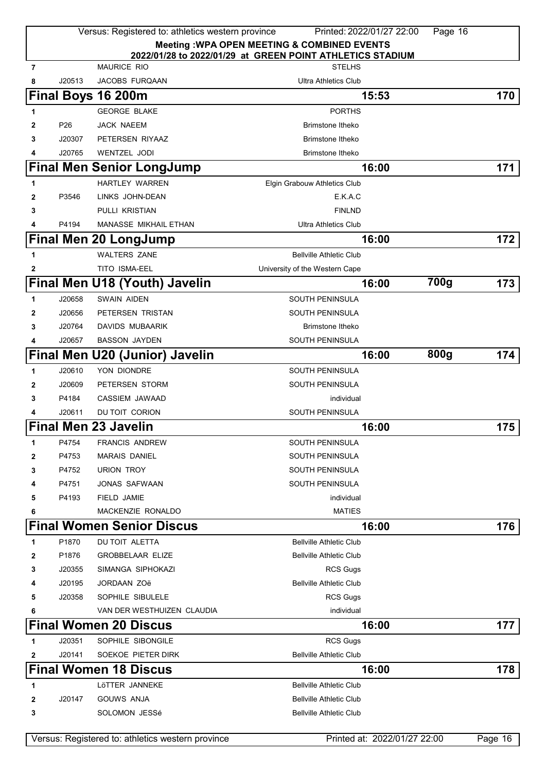|        |                 | Versus: Registered to: athletics western province | Printed: 2022/01/27 22:00                                 |                              | Page 16          |
|--------|-----------------|---------------------------------------------------|-----------------------------------------------------------|------------------------------|------------------|
|        |                 |                                                   | <b>Meeting: WPA OPEN MEETING &amp; COMBINED EVENTS</b>    |                              |                  |
|        |                 |                                                   | 2022/01/28 to 2022/01/29 at GREEN POINT ATHLETICS STADIUM |                              |                  |
| 7<br>8 | J20513          | <b>MAURICE RIO</b><br><b>JACOBS FURQAAN</b>       | <b>STELHS</b><br>Ultra Athletics Club                     |                              |                  |
|        |                 | Final Boys 16 200m                                |                                                           | 15:53                        | 170              |
| 1      |                 | <b>GEORGE BLAKE</b>                               | <b>PORTHS</b>                                             |                              |                  |
| 2      | P <sub>26</sub> | JACK NAEEM                                        | <b>Brimstone Itheko</b>                                   |                              |                  |
| 3      | J20307          | PETERSEN RIYAAZ                                   | Brimstone Itheko                                          |                              |                  |
| 4      | J20765          | WENTZEL JODI                                      | Brimstone Itheko                                          |                              |                  |
|        |                 | <b>Final Men Senior LongJump</b>                  |                                                           | 16:00                        | 171              |
| 1      |                 | HARTLEY WARREN                                    | Elgin Grabouw Athletics Club                              |                              |                  |
| 2      | P3546           | LINKS JOHN-DEAN                                   | E.K.A.C                                                   |                              |                  |
| 3      |                 | PULLI KRISTIAN                                    | <b>FINLND</b>                                             |                              |                  |
| 4      | P4194           | <b>MANASSE MIKHAIL ETHAN</b>                      | <b>Ultra Athletics Club</b>                               |                              |                  |
|        |                 |                                                   |                                                           | 16:00                        | 172              |
|        |                 | <b>Final Men 20 LongJump</b>                      |                                                           |                              |                  |
| 1      |                 | <b>WALTERS ZANE</b>                               | <b>Bellville Athletic Club</b>                            |                              |                  |
| 2      |                 | TITO ISMA-EEL                                     | University of the Western Cape                            |                              |                  |
|        |                 | Final Men U18 (Youth) Javelin                     |                                                           | 700g<br>16:00                | 173              |
| 1      | J20658          | <b>SWAIN AIDEN</b>                                | <b>SOUTH PENINSULA</b>                                    |                              |                  |
| 2      | J20656          | PETERSEN TRISTAN                                  | <b>SOUTH PENINSULA</b>                                    |                              |                  |
| 3      | J20764          | DAVIDS MUBAARIK                                   | Brimstone Itheko                                          |                              |                  |
| 4      | J20657          | <b>BASSON JAYDEN</b>                              | SOUTH PENINSULA                                           |                              |                  |
|        |                 | Final Men U20 (Junior)<br><b>Javelin</b>          |                                                           | 800g<br>16:00                | 174              |
| 1      | J20610          | YON DIONDRE                                       | <b>SOUTH PENINSULA</b>                                    |                              |                  |
| 2      | J20609          | PETERSEN STORM                                    | <b>SOUTH PENINSULA</b>                                    |                              |                  |
| 3      | P4184           | CASSIEM JAWAAD                                    | individual                                                |                              |                  |
| 4      | J20611          | DU TOIT CORION                                    | <b>SOUTH PENINSULA</b>                                    |                              |                  |
|        |                 | <b>Final Men 23 Javelin</b>                       |                                                           | 16:00                        | 175              |
| 1      | P4754           | <b>FRANCIS ANDREW</b>                             | <b>SOUTH PENINSULA</b>                                    |                              |                  |
| 2      | P4753           | <b>MARAIS DANIEL</b>                              | <b>SOUTH PENINSULA</b>                                    |                              |                  |
| 3      | P4752           | <b>URION TROY</b>                                 | <b>SOUTH PENINSULA</b>                                    |                              |                  |
| 4      | P4751           | JONAS SAFWAAN                                     | <b>SOUTH PENINSULA</b>                                    |                              |                  |
| 5      | P4193           | FIELD JAMIE                                       | individual                                                |                              |                  |
| 6      |                 | MACKENZIE RONALDO                                 | <b>MATIES</b>                                             |                              |                  |
|        |                 | <b>Final Women Senior Discus</b>                  |                                                           | 16:00                        | 176              |
| 1      | P1870           | DU TOIT ALETTA                                    | <b>Bellville Athletic Club</b>                            |                              |                  |
| 2      | P1876           | <b>GROBBELAAR ELIZE</b>                           | <b>Bellville Athletic Club</b>                            |                              |                  |
| 3      | J20355          | SIMANGA SIPHOKAZI                                 | <b>RCS Gugs</b>                                           |                              |                  |
| 4      | J20195          | JORDAAN ZOë                                       | <b>Bellville Athletic Club</b>                            |                              |                  |
| 5      | J20358          | SOPHILE SIBULELE                                  | <b>RCS Gugs</b>                                           |                              |                  |
| 6      |                 | VAN DER WESTHUIZEN CLAUDIA                        | individual                                                |                              |                  |
|        |                 | <b>Final Women 20 Discus</b>                      |                                                           | 16:00                        | 177 <sub>l</sub> |
| 1      | J20351          | SOPHILE SIBONGILE                                 | <b>RCS Gugs</b>                                           |                              |                  |
| 2      | J20141          | SOEKOE PIETER DIRK                                | <b>Bellville Athletic Club</b>                            |                              |                  |
|        |                 | <b>Final Women 18 Discus</b>                      |                                                           | 16:00                        | 178              |
| 1      |                 | LöTTER JANNEKE                                    | <b>Bellville Athletic Club</b>                            |                              |                  |
| 2      | J20147          | GOUWS ANJA                                        | <b>Bellville Athletic Club</b>                            |                              |                  |
| 3      |                 | SOLOMON JESSé                                     | <b>Bellville Athletic Club</b>                            |                              |                  |
|        |                 |                                                   |                                                           |                              |                  |
|        |                 | Versus: Registered to: athletics western province |                                                           | Printed at: 2022/01/27 22:00 | Page 16          |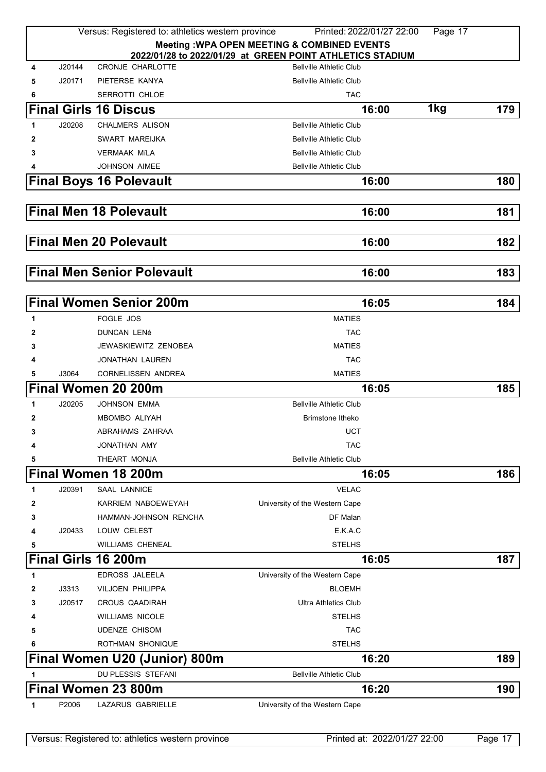|              | Versus: Registered to: athletics western province<br>Printed: 2022/01/27 22:00<br>Page 17 |                                   |                                                           |     |     |  |
|--------------|-------------------------------------------------------------------------------------------|-----------------------------------|-----------------------------------------------------------|-----|-----|--|
|              |                                                                                           |                                   | <b>Meeting: WPA OPEN MEETING &amp; COMBINED EVENTS</b>    |     |     |  |
|              |                                                                                           |                                   | 2022/01/28 to 2022/01/29 at GREEN POINT ATHLETICS STADIUM |     |     |  |
| 4            | J20144                                                                                    | <b>CRONJE CHARLOTTE</b>           | <b>Bellville Athletic Club</b>                            |     |     |  |
| 5            | J20171                                                                                    | PIETERSE KANYA                    | <b>Bellville Athletic Club</b>                            |     |     |  |
| 6            |                                                                                           | SERROTTI CHLOE                    | <b>TAC</b>                                                |     |     |  |
|              |                                                                                           | <b>Final Girls 16 Discus</b>      | 16:00                                                     | 1kg | 179 |  |
| 1            | J20208                                                                                    | <b>CHALMERS ALISON</b>            | <b>Bellville Athletic Club</b>                            |     |     |  |
| 2            |                                                                                           | SWART MAREIJKA                    | <b>Bellville Athletic Club</b>                            |     |     |  |
| 3            |                                                                                           | <b>VERMAAK MILA</b>               | <b>Bellville Athletic Club</b>                            |     |     |  |
| 4            |                                                                                           | <b>JOHNSON AIMEE</b>              | <b>Bellville Athletic Club</b>                            |     |     |  |
|              |                                                                                           | <b>Final Boys 16 Polevault</b>    | 16:00                                                     |     | 180 |  |
|              |                                                                                           | <b>Final Men 18 Polevault</b>     | 16:00                                                     |     | 181 |  |
|              |                                                                                           |                                   |                                                           |     |     |  |
|              |                                                                                           | <b>Final Men 20 Polevault</b>     | 16:00                                                     |     | 182 |  |
|              |                                                                                           | <b>Final Men Senior Polevault</b> | 16:00                                                     |     | 183 |  |
|              |                                                                                           |                                   |                                                           |     |     |  |
|              |                                                                                           | <b>Final Women Senior 200m</b>    | 16:05                                                     |     | 184 |  |
| 1            |                                                                                           | FOGLE JOS                         | <b>MATIES</b>                                             |     |     |  |
| 2            |                                                                                           | <b>DUNCAN LENé</b>                | <b>TAC</b>                                                |     |     |  |
| 3            |                                                                                           | JEWASKIEWITZ ZENOBEA              | <b>MATIES</b>                                             |     |     |  |
| 4            |                                                                                           | JONATHAN LAUREN                   | <b>TAC</b>                                                |     |     |  |
| 5            | J3064                                                                                     | <b>CORNELISSEN ANDREA</b>         | <b>MATIES</b>                                             |     |     |  |
|              |                                                                                           | <b>Final Women 20 200m</b>        | 16:05                                                     |     | 185 |  |
| 1            | J20205                                                                                    | <b>JOHNSON EMMA</b>               | <b>Bellville Athletic Club</b>                            |     |     |  |
| $\mathbf{2}$ |                                                                                           | MBOMBO ALIYAH                     | <b>Brimstone Itheko</b>                                   |     |     |  |
| 3            |                                                                                           | ABRAHAMS ZAHRAA                   | <b>UCT</b>                                                |     |     |  |
| 4            |                                                                                           | JONATHAN AMY                      | <b>TAC</b>                                                |     |     |  |
| 5            |                                                                                           | THEART MONJA                      | <b>Bellville Athletic Club</b>                            |     |     |  |
|              |                                                                                           | Final Women 18 200m               | 16:05                                                     |     | 186 |  |
| 1            | J20391                                                                                    | <b>SAAL LANNICE</b>               | <b>VELAC</b>                                              |     |     |  |
| $\mathbf{2}$ |                                                                                           | KARRIEM NABOEWEYAH                | University of the Western Cape                            |     |     |  |
| 3            |                                                                                           | HAMMAN-JOHNSON RENCHA             | DF Malan                                                  |     |     |  |
| 4            | J20433                                                                                    | LOUW CELEST                       | E.K.A.C                                                   |     |     |  |
| 5            |                                                                                           | <b>WILLIAMS CHENEAL</b>           | <b>STELHS</b>                                             |     |     |  |
|              |                                                                                           | Final Girls 16 200m               | 16:05                                                     |     | 187 |  |
| 1            |                                                                                           | EDROSS JALEELA                    | University of the Western Cape                            |     |     |  |
| 2            | J3313                                                                                     | VILJOEN PHILIPPA                  | <b>BLOEMH</b>                                             |     |     |  |
| 3            | J20517                                                                                    | <b>CROUS QAADIRAH</b>             | <b>Ultra Athletics Club</b>                               |     |     |  |
| 4            |                                                                                           | <b>WILLIAMS NICOLE</b>            | <b>STELHS</b>                                             |     |     |  |
|              |                                                                                           | <b>UDENZE CHISOM</b>              | <b>TAC</b>                                                |     |     |  |
| 5            |                                                                                           |                                   | <b>STELHS</b>                                             |     |     |  |
| 6            |                                                                                           | ROTHMAN SHONIQUE                  |                                                           |     |     |  |
|              |                                                                                           | Final Women U20 (Junior) 800m     | 16:20                                                     |     | 189 |  |
|              |                                                                                           | DU PLESSIS STEFANI                | <b>Bellville Athletic Club</b>                            |     |     |  |
|              |                                                                                           | Final Women 23 800m               | 16:20                                                     |     | 190 |  |
| 1            | P2006                                                                                     | LAZARUS GABRIELLE                 | University of the Western Cape                            |     |     |  |